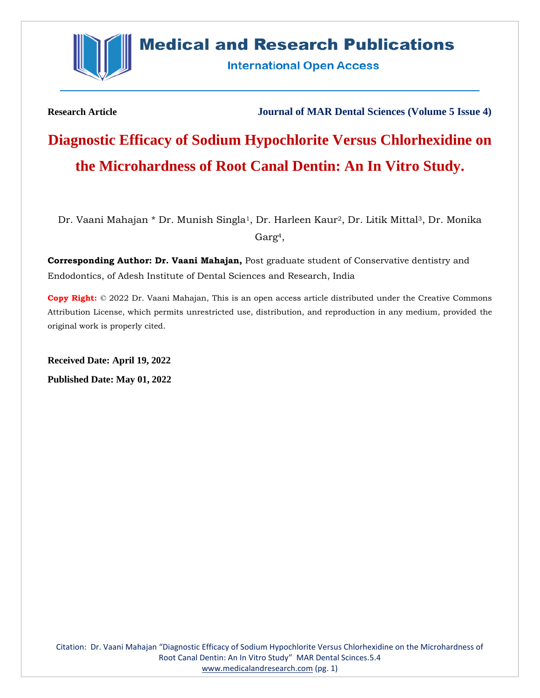

# **Medical and Research Publications**

**International Open Access** 

**Research Article Journal of MAR Dental Sciences (Volume 5 Issue 4)**

# **Diagnostic Efficacy of Sodium Hypochlorite Versus Chlorhexidine on the Microhardness of Root Canal Dentin: An In Vitro Study.**

Dr. Vaani Mahajan \* Dr. Munish Singla<sup>1</sup>, Dr. Harleen Kaur<sup>2</sup>, Dr. Litik Mittal<sup>3</sup>, Dr. Monika Garg4,

**Corresponding Author: Dr. Vaani Mahajan,** Post graduate student of Conservative dentistry and Endodontics, of Adesh Institute of Dental Sciences and Research, India

**Copy Right:** © 2022 Dr. Vaani Mahajan, This is an open access article distributed under the Creative Commons Attribution License, which permits unrestricted use, distribution, and reproduction in any medium, provided the original work is properly cited.

**Received Date: April 19, 2022 Published Date: May 01, 2022**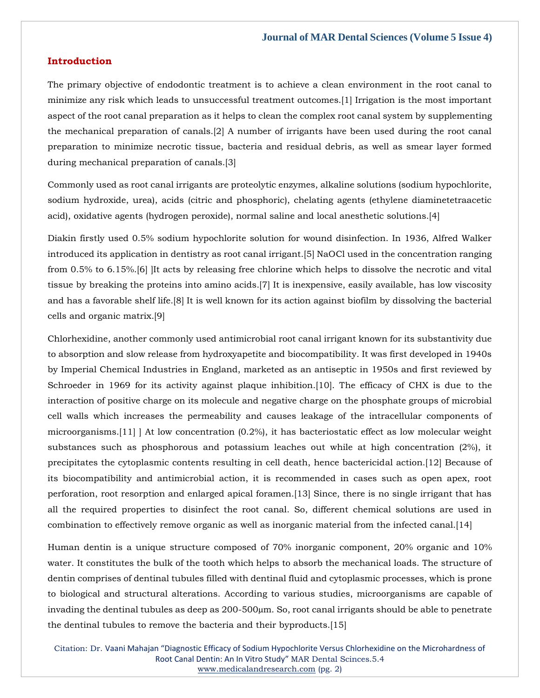### **Introduction**

The primary objective of endodontic treatment is to achieve a clean environment in the root canal to minimize any risk which leads to unsuccessful treatment outcomes.[1] Irrigation is the most important aspect of the root canal preparation as it helps to clean the complex root canal system by supplementing the mechanical preparation of canals.[2] A number of irrigants have been used during the root canal preparation to minimize necrotic tissue, bacteria and residual debris, as well as smear layer formed during mechanical preparation of canals.[3]

Commonly used as root canal irrigants are proteolytic enzymes, alkaline solutions (sodium hypochlorite, sodium hydroxide, urea), acids (citric and phosphoric), chelating agents (ethylene diaminetetraacetic acid), oxidative agents (hydrogen peroxide), normal saline and local anesthetic solutions.[4]

Diakin firstly used 0.5% sodium hypochlorite solution for wound disinfection. In 1936, Alfred Walker introduced its application in dentistry as root canal irrigant.[5] NaOCl used in the concentration ranging from 0.5% to 6.15%.[6] ]It acts by releasing free chlorine which helps to dissolve the necrotic and vital tissue by breaking the proteins into amino acids.[7] It is inexpensive, easily available, has low viscosity and has a favorable shelf life.[8] It is well known for its action against biofilm by dissolving the bacterial cells and organic matrix.[9]

Chlorhexidine, another commonly used antimicrobial root canal irrigant known for its substantivity due to absorption and slow release from hydroxyapetite and biocompatibility. It was first developed in 1940s by Imperial Chemical Industries in England, marketed as an antiseptic in 1950s and first reviewed by Schroeder in 1969 for its activity against plaque inhibition.[10]. The efficacy of CHX is due to the interaction of positive charge on its molecule and negative charge on the phosphate groups of microbial cell walls which increases the permeability and causes leakage of the intracellular components of microorganisms.[11] ] At low concentration (0.2%), it has bacteriostatic effect as low molecular weight substances such as phosphorous and potassium leaches out while at high concentration (2%), it precipitates the cytoplasmic contents resulting in cell death, hence bactericidal action.[12] Because of its biocompatibility and antimicrobial action, it is recommended in cases such as open apex, root perforation, root resorption and enlarged apical foramen.[13] Since, there is no single irrigant that has all the required properties to disinfect the root canal. So, different chemical solutions are used in combination to effectively remove organic as well as inorganic material from the infected canal.[14]

Human dentin is a unique structure composed of 70% inorganic component, 20% organic and 10% water. It constitutes the bulk of the tooth which helps to absorb the mechanical loads. The structure of dentin comprises of dentinal tubules filled with dentinal fluid and cytoplasmic processes, which is prone to biological and structural alterations. According to various studies, microorganisms are capable of invading the dentinal tubules as deep as 200-500µm. So, root canal irrigants should be able to penetrate the dentinal tubules to remove the bacteria and their byproducts.[15]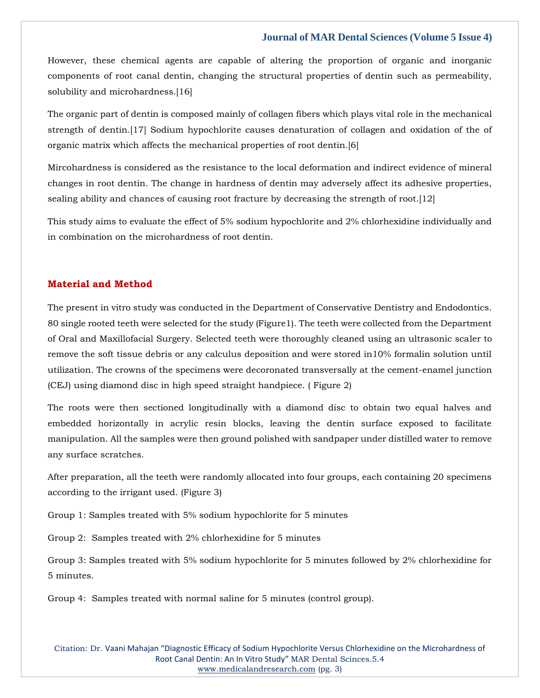However, these chemical agents are capable of altering the proportion of organic and inorganic components of root canal dentin, changing the structural properties of dentin such as permeability, solubility and microhardness.[16]

The organic part of dentin is composed mainly of collagen fibers which plays vital role in the mechanical strength of dentin.[17] Sodium hypochlorite causes denaturation of collagen and oxidation of the of organic matrix which affects the mechanical properties of root dentin.[6]

Mircohardness is considered as the resistance to the local deformation and indirect evidence of mineral changes in root dentin. The change in hardness of dentin may adversely affect its adhesive properties, sealing ability and chances of causing root fracture by decreasing the strength of root.[12]

This study aims to evaluate the effect of 5% sodium hypochlorite and 2% chlorhexidine individually and in combination on the microhardness of root dentin.

# **Material and Method**

The present in vitro study was conducted in the Department of Conservative Dentistry and Endodontics. 80 single rooted teeth were selected for the study (Figure1). The teeth were collected from the Department of Oral and Maxillofacial Surgery. Selected teeth were thoroughly cleaned using an ultrasonic scaler to remove the soft tissue debris or any calculus deposition and were stored in10% formalin solution until utilization. The crowns of the specimens were decoronated transversally at the cement-enamel junction (CEJ) using diamond disc in high speed straight handpiece. ( Figure 2)

The roots were then sectioned longitudinally with a diamond disc to obtain two equal halves and embedded horizontally in acrylic resin blocks, leaving the dentin surface exposed to facilitate manipulation. All the samples were then ground polished with sandpaper under distilled water to remove any surface scratches.

After preparation, all the teeth were randomly allocated into four groups, each containing 20 specimens according to the irrigant used. (Figure 3)

Group 1: Samples treated with 5% sodium hypochlorite for 5 minutes

Group 2: Samples treated with 2% chlorhexidine for 5 minutes

Group 3: Samples treated with 5% sodium hypochlorite for 5 minutes followed by 2% chlorhexidine for 5 minutes.

Group 4: Samples treated with normal saline for 5 minutes (control group).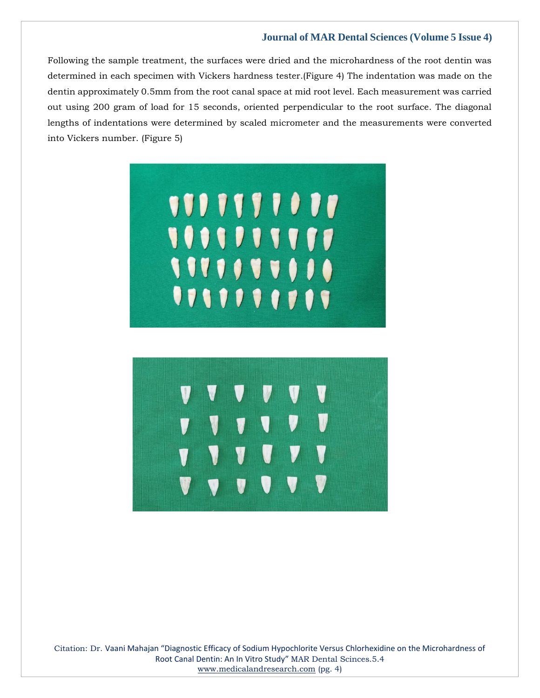Following the sample treatment, the surfaces were dried and the microhardness of the root dentin was determined in each specimen with Vickers hardness tester.(Figure 4) The indentation was made on the dentin approximately 0.5mm from the root canal space at mid root level. Each measurement was carried out using 200 gram of load for 15 seconds, oriented perpendicular to the root surface. The diagonal lengths of indentations were determined by scaled micrometer and the measurements were converted into Vickers number. (Figure 5)





Citation: Dr. Vaani Mahajan "Diagnostic Efficacy of Sodium Hypochlorite Versus Chlorhexidine on the Microhardness of Root Canal Dentin: An In Vitro Study" MAR Dental Scinces.5.4 [www.medicalandresearch.com](http://www.medicalandresearch.com/) (pg. 4)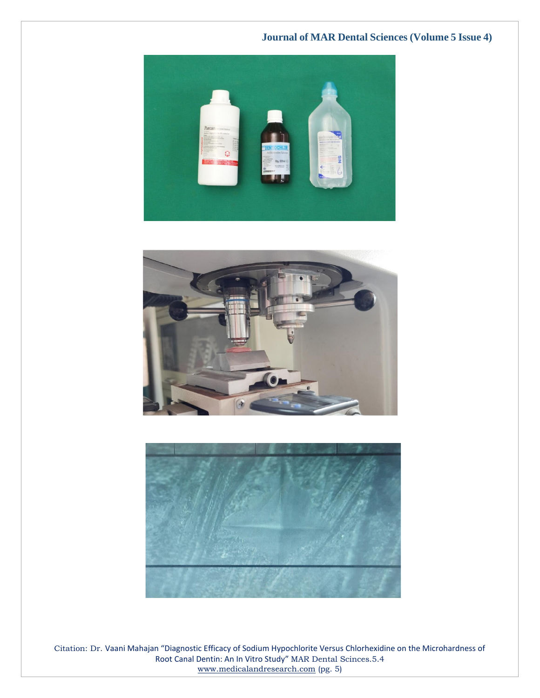





Citation: Dr. Vaani Mahajan "Diagnostic Efficacy of Sodium Hypochlorite Versus Chlorhexidine on the Microhardness of Root Canal Dentin: An In Vitro Study" MAR Dental Scinces.5.4 [www.medicalandresearch.com](http://www.medicalandresearch.com/) (pg. 5)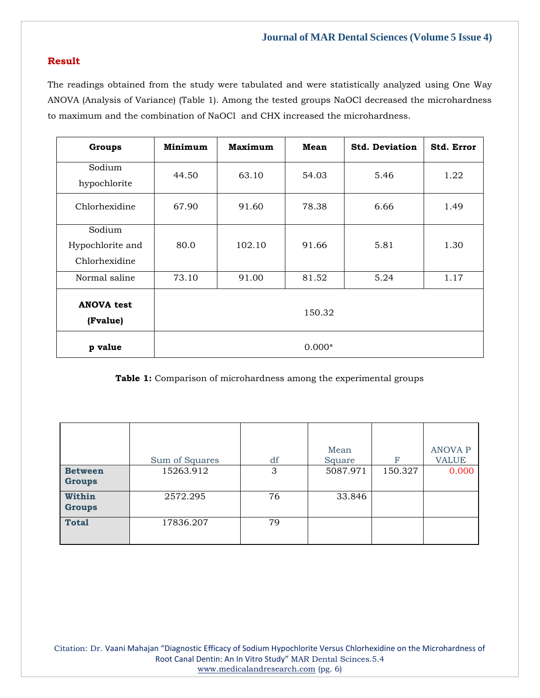# **Result**

The readings obtained from the study were tabulated and were statistically analyzed using One Way ANOVA (Analysis of Variance) (Table 1). Among the tested groups NaOCl decreased the microhardness to maximum and the combination of NaOCl and CHX increased the microhardness.

| <b>Groups</b>                               | Minimum  | Maximum | Mean  | <b>Std. Deviation</b> | Std. Error |  |  |  |
|---------------------------------------------|----------|---------|-------|-----------------------|------------|--|--|--|
| Sodium<br>hypochlorite                      | 44.50    | 63.10   | 54.03 | 5.46                  | 1.22       |  |  |  |
| Chlorhexidine                               | 67.90    | 91.60   | 78.38 | 6.66                  | 1.49       |  |  |  |
| Sodium<br>Hypochlorite and<br>Chlorhexidine | 80.0     | 102.10  | 91.66 | 5.81                  | 1.30       |  |  |  |
| Normal saline                               | 73.10    | 91.00   | 81.52 | 5.24                  | 1.17       |  |  |  |
| <b>ANOVA</b> test<br>(Fvalue)               | 150.32   |         |       |                       |            |  |  |  |
| p value                                     | $0.000*$ |         |       |                       |            |  |  |  |

Table 1: Comparison of microhardness among the experimental groups

|                                 | Sum of Squares | df | Mean<br>Square | F       | <b>ANOVA P</b><br><b>VALUE</b> |
|---------------------------------|----------------|----|----------------|---------|--------------------------------|
| <b>Between</b><br><b>Groups</b> | 15263.912      | 3  | 5087.971       | 150.327 | 0.000                          |
| Within<br><b>Groups</b>         | 2572.295       | 76 | 33.846         |         |                                |
| <b>Total</b>                    | 17836.207      | 79 |                |         |                                |

Citation: Dr. Vaani Mahajan "Diagnostic Efficacy of Sodium Hypochlorite Versus Chlorhexidine on the Microhardness of Root Canal Dentin: An In Vitro Study" MAR Dental Scinces.5.4 [www.medicalandresearch.com](http://www.medicalandresearch.com/) (pg. 6)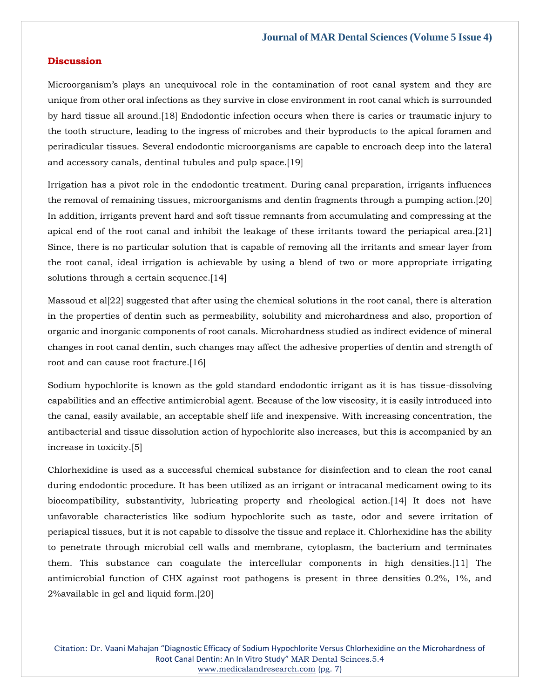# **Discussion**

Microorganism's plays an unequivocal role in the contamination of root canal system and they are unique from other oral infections as they survive in close environment in root canal which is surrounded by hard tissue all around.[18] Endodontic infection occurs when there is caries or traumatic injury to the tooth structure, leading to the ingress of microbes and their byproducts to the apical foramen and periradicular tissues. Several endodontic microorganisms are capable to encroach deep into the lateral and accessory canals, dentinal tubules and pulp space.[19]

Irrigation has a pivot role in the endodontic treatment. During canal preparation, irrigants influences the removal of remaining tissues, microorganisms and dentin fragments through a pumping action.[20] In addition, irrigants prevent hard and soft tissue remnants from accumulating and compressing at the apical end of the root canal and inhibit the leakage of these irritants toward the periapical area.[21] Since, there is no particular solution that is capable of removing all the irritants and smear layer from the root canal, ideal irrigation is achievable by using a blend of two or more appropriate irrigating solutions through a certain sequence.[14]

Massoud et al[22] suggested that after using the chemical solutions in the root canal, there is alteration in the properties of dentin such as permeability, solubility and microhardness and also, proportion of organic and inorganic components of root canals. Microhardness studied as indirect evidence of mineral changes in root canal dentin, such changes may affect the adhesive properties of dentin and strength of root and can cause root fracture.[16]

Sodium hypochlorite is known as the gold standard endodontic irrigant as it is has tissue-dissolving capabilities and an effective antimicrobial agent. Because of the low viscosity, it is easily introduced into the canal, easily available, an acceptable shelf life and inexpensive. With increasing concentration, the antibacterial and tissue dissolution action of hypochlorite also increases, but this is accompanied by an increase in toxicity.[5]

Chlorhexidine is used as a successful chemical substance for disinfection and to clean the root canal during endodontic procedure. It has been utilized as an irrigant or intracanal medicament owing to its biocompatibility, substantivity, lubricating property and rheological action.[14] It does not have unfavorable characteristics like sodium hypochlorite such as taste, odor and severe irritation of periapical tissues, but it is not capable to dissolve the tissue and replace it. Chlorhexidine has the ability to penetrate through microbial cell walls and membrane, cytoplasm, the bacterium and terminates them. This substance can coagulate the intercellular components in high densities.[11] The antimicrobial function of CHX against root pathogens is present in three densities 0.2%, 1%, and 2%available in gel and liquid form.[20]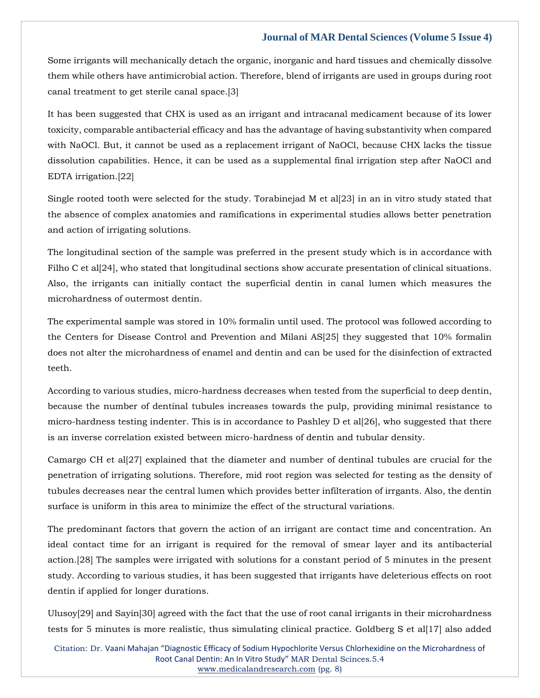Some irrigants will mechanically detach the organic, inorganic and hard tissues and chemically dissolve them while others have antimicrobial action. Therefore, blend of irrigants are used in groups during root canal treatment to get sterile canal space.[3]

It has been suggested that CHX is used as an irrigant and intracanal medicament because of its lower toxicity, comparable antibacterial efficacy and has the advantage of having substantivity when compared with NaOCl. But, it cannot be used as a replacement irrigant of NaOCl, because CHX lacks the tissue dissolution capabilities. Hence, it can be used as a supplemental final irrigation step after NaOCl and EDTA irrigation.[22]

Single rooted tooth were selected for the study. Torabinejad M et al[23] in an in vitro study stated that the absence of complex anatomies and ramifications in experimental studies allows better penetration and action of irrigating solutions.

The longitudinal section of the sample was preferred in the present study which is in accordance with Filho C et al<sup>[24]</sup>, who stated that longitudinal sections show accurate presentation of clinical situations. Also, the irrigants can initially contact the superficial dentin in canal lumen which measures the microhardness of outermost dentin.

The experimental sample was stored in 10% formalin until used. The protocol was followed according to the Centers for Disease Control and Prevention and Milani AS[25] they suggested that 10% formalin does not alter the microhardness of enamel and dentin and can be used for the disinfection of extracted teeth.

According to various studies, micro-hardness decreases when tested from the superficial to deep dentin, because the number of dentinal tubules increases towards the pulp, providing minimal resistance to micro-hardness testing indenter. This is in accordance to Pashley D et al[26], who suggested that there is an inverse correlation existed between micro-hardness of dentin and tubular density.

Camargo CH et al[27] explained that the diameter and number of dentinal tubules are crucial for the penetration of irrigating solutions. Therefore, mid root region was selected for testing as the density of tubules decreases near the central lumen which provides better infilteration of irrgants. Also, the dentin surface is uniform in this area to minimize the effect of the structural variations.

The predominant factors that govern the action of an irrigant are contact time and concentration. An ideal contact time for an irrigant is required for the removal of smear layer and its antibacterial action.[28] The samples were irrigated with solutions for a constant period of 5 minutes in the present study. According to various studies, it has been suggested that irrigants have deleterious effects on root dentin if applied for longer durations.

Ulusoy[29] and Sayin[30] agreed with the fact that the use of root canal irrigants in their microhardness tests for 5 minutes is more realistic, thus simulating clinical practice. Goldberg S et al[17] also added

Citation: Dr. Vaani Mahajan "Diagnostic Efficacy of Sodium Hypochlorite Versus Chlorhexidine on the Microhardness of Root Canal Dentin: An In Vitro Study" MAR Dental Scinces.5.4 [www.medicalandresearch.com](http://www.medicalandresearch.com/) (pg. 8)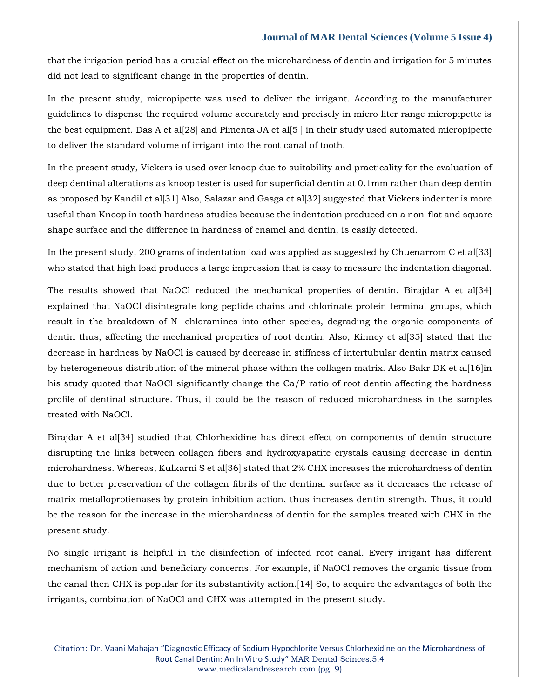that the irrigation period has a crucial effect on the microhardness of dentin and irrigation for 5 minutes did not lead to significant change in the properties of dentin.

In the present study, micropipette was used to deliver the irrigant. According to the manufacturer guidelines to dispense the required volume accurately and precisely in micro liter range micropipette is the best equipment. Das A et al[28] and Pimenta JA et al[5 ] in their study used automated micropipette to deliver the standard volume of irrigant into the root canal of tooth.

In the present study, Vickers is used over knoop due to suitability and practicality for the evaluation of deep dentinal alterations as knoop tester is used for superficial dentin at 0.1mm rather than deep dentin as proposed by Kandil et al[31] Also, Salazar and Gasga et al[32] suggested that Vickers indenter is more useful than Knoop in tooth hardness studies because the indentation produced on a non-flat and square shape surface and the difference in hardness of enamel and dentin, is easily detected.

In the present study, 200 grams of indentation load was applied as suggested by Chuenarrom C et al[33] who stated that high load produces a large impression that is easy to measure the indentation diagonal.

The results showed that NaOCl reduced the mechanical properties of dentin. Birajdar A et al[34] explained that NaOCl disintegrate long peptide chains and chlorinate protein terminal groups, which result in the breakdown of N- chloramines into other species, degrading the organic components of dentin thus, affecting the mechanical properties of root dentin. Also, Kinney et al[35] stated that the decrease in hardness by NaOCl is caused by decrease in stiffness of intertubular dentin matrix caused by heterogeneous distribution of the mineral phase within the collagen matrix. Also Bakr DK et al[16]in his study quoted that NaOCl significantly change the Ca/P ratio of root dentin affecting the hardness profile of dentinal structure. Thus, it could be the reason of reduced microhardness in the samples treated with NaOCl.

Birajdar A et al[34] studied that Chlorhexidine has direct effect on components of dentin structure disrupting the links between collagen fibers and hydroxyapatite crystals causing decrease in dentin microhardness. Whereas, Kulkarni S et al[36] stated that 2% CHX increases the microhardness of dentin due to better preservation of the collagen fibrils of the dentinal surface as it decreases the release of matrix metalloprotienases by protein inhibition action, thus increases dentin strength. Thus, it could be the reason for the increase in the microhardness of dentin for the samples treated with CHX in the present study.

No single irrigant is helpful in the disinfection of infected root canal. Every irrigant has different mechanism of action and beneficiary concerns. For example, if NaOCl removes the organic tissue from the canal then CHX is popular for its substantivity action.[14] So, to acquire the advantages of both the irrigants, combination of NaOCl and CHX was attempted in the present study.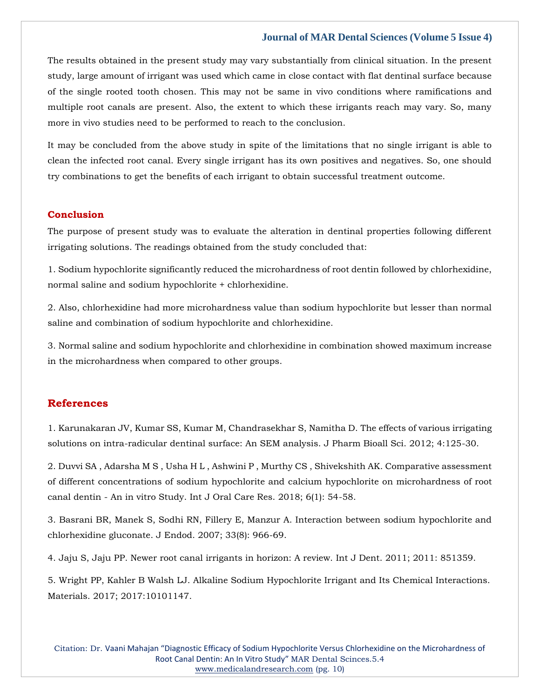The results obtained in the present study may vary substantially from clinical situation. In the present study, large amount of irrigant was used which came in close contact with flat dentinal surface because of the single rooted tooth chosen. This may not be same in vivo conditions where ramifications and multiple root canals are present. Also, the extent to which these irrigants reach may vary. So, many more in vivo studies need to be performed to reach to the conclusion.

It may be concluded from the above study in spite of the limitations that no single irrigant is able to clean the infected root canal. Every single irrigant has its own positives and negatives. So, one should try combinations to get the benefits of each irrigant to obtain successful treatment outcome.

# **Conclusion**

The purpose of present study was to evaluate the alteration in dentinal properties following different irrigating solutions. The readings obtained from the study concluded that:

1. Sodium hypochlorite significantly reduced the microhardness of root dentin followed by chlorhexidine, normal saline and sodium hypochlorite + chlorhexidine.

2. Also, chlorhexidine had more microhardness value than sodium hypochlorite but lesser than normal saline and combination of sodium hypochlorite and chlorhexidine.

3. Normal saline and sodium hypochlorite and chlorhexidine in combination showed maximum increase in the microhardness when compared to other groups.

# **References**

1. [Karunakaran JV, Kumar SS, Kumar M, Chandrasekhar S, Namitha D.](https://www.google.com/search?q=The+effects+of+various+irrigating+solutions+on+intra-radicular+dentinal+surface%3A+An+SEM+analysis&oq=The+effects+of+various+irrigating+solutions+on+intra-radicular+dentinal+surface%3A+An+SEM+analysis&aqs=chrome..69i57.526j0j7&sourceid=chrome&ie=UTF-8) The effects of various irrigating [solutions on intra-radicular dentinal surface: An SEM analysis. J Pharm Bioall Sci. 2012; 4:125-30.](https://www.google.com/search?q=The+effects+of+various+irrigating+solutions+on+intra-radicular+dentinal+surface%3A+An+SEM+analysis&oq=The+effects+of+various+irrigating+solutions+on+intra-radicular+dentinal+surface%3A+An+SEM+analysis&aqs=chrome..69i57.526j0j7&sourceid=chrome&ie=UTF-8)

2. [Duvvi SA , Adarsha M S , Usha H L , Ashwini P , Murthy CS , Shivekshith AK. Comparative assessment](https://www.google.com/search?q=Comparative+assessment+of+different+concentrations+of+sodium+hypochlorite+and+calcium+hypochlorite+on+microhardness+of+root+canal+dentin+-+An+in+vitro+Study&sxsrf=APq-WBtl5E-4vOy92qBqXxlzObV6wVDajg%3A1650536407100&ei=1y9hYvDgBfqY4-EPy5OyiAU&ved=0ahUKEwiwqO-h96T3AhV6zDgGHcuJDFEQ4dUDCA4&oq=Comparative+assessment+of+different+concentrations+of+sodium+hypochlorite+and+calcium+hypochlorite+on+microhardness+of+root+canal+dentin+-+An+in+vitro+Study&gs_lcp=Cgdnd3Mtd2l6EAwyBwgjEOoCECcyBwgjEOoCECcyBwgjEOoCECcyBwgjEOoCECcyBwgjEOoCECcyBwgjEOoCECcyBwgjEOoCECcyBwgjEOoCECcyDQguEMcBENEDEOoCECcyBwgjEOoCECdKBAhBGABKBAhGGABQygNYygNgvAdoAXAAeACAAQCIAQCSAQCYAQCgAQGgAQKwAQrAAQE&sclient=gws-wiz)  [of different concentrations of sodium hypochlorite and calcium hypochlorite on microhardness of root](https://www.google.com/search?q=Comparative+assessment+of+different+concentrations+of+sodium+hypochlorite+and+calcium+hypochlorite+on+microhardness+of+root+canal+dentin+-+An+in+vitro+Study&sxsrf=APq-WBtl5E-4vOy92qBqXxlzObV6wVDajg%3A1650536407100&ei=1y9hYvDgBfqY4-EPy5OyiAU&ved=0ahUKEwiwqO-h96T3AhV6zDgGHcuJDFEQ4dUDCA4&oq=Comparative+assessment+of+different+concentrations+of+sodium+hypochlorite+and+calcium+hypochlorite+on+microhardness+of+root+canal+dentin+-+An+in+vitro+Study&gs_lcp=Cgdnd3Mtd2l6EAwyBwgjEOoCECcyBwgjEOoCECcyBwgjEOoCECcyBwgjEOoCECcyBwgjEOoCECcyBwgjEOoCECcyBwgjEOoCECcyBwgjEOoCECcyDQguEMcBENEDEOoCECcyBwgjEOoCECdKBAhBGABKBAhGGABQygNYygNgvAdoAXAAeACAAQCIAQCSAQCYAQCgAQGgAQKwAQrAAQE&sclient=gws-wiz)  canal dentin - [An in vitro Study. Int J Oral Care Res. 2018; 6\(1\): 54-58.](https://www.google.com/search?q=Comparative+assessment+of+different+concentrations+of+sodium+hypochlorite+and+calcium+hypochlorite+on+microhardness+of+root+canal+dentin+-+An+in+vitro+Study&sxsrf=APq-WBtl5E-4vOy92qBqXxlzObV6wVDajg%3A1650536407100&ei=1y9hYvDgBfqY4-EPy5OyiAU&ved=0ahUKEwiwqO-h96T3AhV6zDgGHcuJDFEQ4dUDCA4&oq=Comparative+assessment+of+different+concentrations+of+sodium+hypochlorite+and+calcium+hypochlorite+on+microhardness+of+root+canal+dentin+-+An+in+vitro+Study&gs_lcp=Cgdnd3Mtd2l6EAwyBwgjEOoCECcyBwgjEOoCECcyBwgjEOoCECcyBwgjEOoCECcyBwgjEOoCECcyBwgjEOoCECcyBwgjEOoCECcyBwgjEOoCECcyDQguEMcBENEDEOoCECcyBwgjEOoCECdKBAhBGABKBAhGGABQygNYygNgvAdoAXAAeACAAQCIAQCSAQCYAQCgAQGgAQKwAQrAAQE&sclient=gws-wiz)

3. [Basrani BR, Manek S, Sodhi RN, Fillery E, Manzur A. Interaction between sodium hypochlorite and](https://www.google.com/search?q=Interaction+between+sodium+hypochlorite+and+chlorhexidine+gluconate.&sxsrf=APq-WBtlMyeBG6nKE7YfOMPM2sbGz-4-AA%3A1650536432488&ei=8C9hYqO4HaTE4-EPoNCpiAI&ved=0ahUKEwij8Pyt96T3AhUk4jgGHSBoCiEQ4dUDCA4&oq=Interaction+between+sodium+hypochlorite+and+chlorhexidine+gluconate.&gs_lcp=Cgdnd3Mtd2l6EAwyBggAEBYQHjoHCCMQ6gIQJzoNCC4QxwEQ0QMQ6gIQJ0oECEEYAEoECEYYAFC1A1i1A2CHB2gBcAF4AIABYYgBYZIBATGYAQCgAQGgAQKwAQrAAQE&sclient=gws-wiz)  [chlorhexidine gluconate. J Endod. 2007; 33\(8\): 966-69.](https://www.google.com/search?q=Interaction+between+sodium+hypochlorite+and+chlorhexidine+gluconate.&sxsrf=APq-WBtlMyeBG6nKE7YfOMPM2sbGz-4-AA%3A1650536432488&ei=8C9hYqO4HaTE4-EPoNCpiAI&ved=0ahUKEwij8Pyt96T3AhUk4jgGHSBoCiEQ4dUDCA4&oq=Interaction+between+sodium+hypochlorite+and+chlorhexidine+gluconate.&gs_lcp=Cgdnd3Mtd2l6EAwyBggAEBYQHjoHCCMQ6gIQJzoNCC4QxwEQ0QMQ6gIQJ0oECEEYAEoECEYYAFC1A1i1A2CHB2gBcAF4AIABYYgBYZIBATGYAQCgAQGgAQKwAQrAAQE&sclient=gws-wiz)

4. [Jaju S, Jaju PP. Newer root canal irrigants in horizon: A review. Int J Dent. 2011; 2011: 851359.](https://www.google.com/search?q=Newer+root+canal+irrigants+in+horizon%3A+A+review&sxsrf=APq-WBuMUQr6FJL4YMNK1QKRE0I0zk4PuQ%3A1650536452575&ei=BDBhYsHYIse94-EP_tyekAU&ved=0ahUKEwjB6sa396T3AhXH3jgGHX6uB1IQ4dUDCA4&oq=Newer+root+canal+irrigants+in+horizon%3A+A+review&gs_lcp=Cgdnd3Mtd2l6EAw6BwgjEOoCECdKBAhBGABKBAhGGABQlANYlANg7wZoAXABeACAAX-IAX-SAQMwLjGYAQCgAQGgAQKwAQrAAQE&sclient=gws-wiz)

5. [Wright PP, Kahler B Walsh LJ. Alkaline Sodium Hypochlorite Irrigant and Its Chemical Interactions.](https://www.google.com/search?q=Alkaline+Sodium+Hypochlorite+Irrigant+and+Its+Chemical+Interactions&sxsrf=APq-WBs8dkLTNGYvQmblPoX6bzh4FGxohw%3A1650536495004&ei=LjBhYryAPfC94-EP_4iNgAM&ved=0ahUKEwi8z-TL96T3AhXw3jgGHX9EAzAQ4dUDCA4&oq=Alkaline+Sodium+Hypochlorite+Irrigant+and+Its+Chemical+Interactions&gs_lcp=Cgdnd3Mtd2l6EAwyBggAEBYQHjoHCCMQ6gIQJ0oECEEYAEoECEYYAFD2Alj2AmC5BmgBcAF4AIABaogBapIBAzAuMZgBAKABAaABArABCsABAQ&sclient=gws-wiz)  [Materials. 2017; 2017:10101147.](https://www.google.com/search?q=Alkaline+Sodium+Hypochlorite+Irrigant+and+Its+Chemical+Interactions&sxsrf=APq-WBs8dkLTNGYvQmblPoX6bzh4FGxohw%3A1650536495004&ei=LjBhYryAPfC94-EP_4iNgAM&ved=0ahUKEwi8z-TL96T3AhXw3jgGHX9EAzAQ4dUDCA4&oq=Alkaline+Sodium+Hypochlorite+Irrigant+and+Its+Chemical+Interactions&gs_lcp=Cgdnd3Mtd2l6EAwyBggAEBYQHjoHCCMQ6gIQJ0oECEEYAEoECEYYAFD2Alj2AmC5BmgBcAF4AIABaogBapIBAzAuMZgBAKABAaABArABCsABAQ&sclient=gws-wiz)

Citation: Dr. Vaani Mahajan "Diagnostic Efficacy of Sodium Hypochlorite Versus Chlorhexidine on the Microhardness of Root Canal Dentin: An In Vitro Study" MAR Dental Scinces.5.4 [www.medicalandresearch.com](http://www.medicalandresearch.com/) (pg. 10)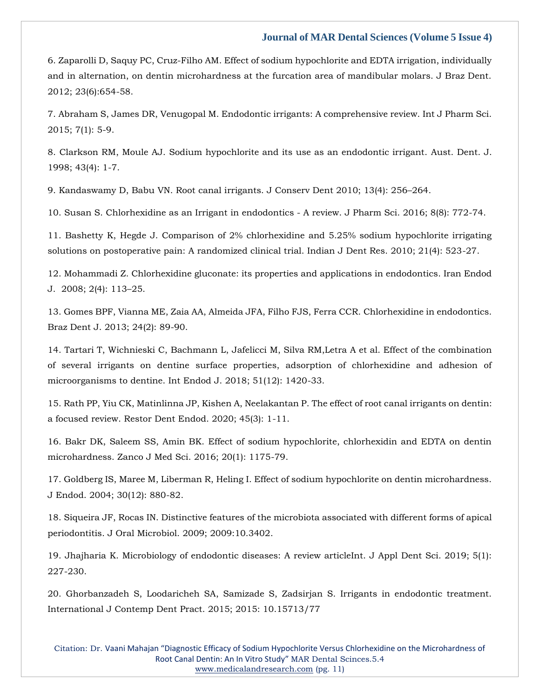6. [Zaparolli D, Saquy PC, Cruz-Filho AM. Effect of sodium hypochlorite and EDTA irrigation, individually](https://www.google.com/search?q=Effect+of+sodium+hypochlorite+and+EDTA+irrigation%2C+individually+and+in+alternation%2C+on+dentin+microhardness+at+the+furcation+area+of+mandibular+molars.+&sxsrf=APq-WBtPWheIMaQUr9GqmYoGvPBjqevdzw%3A1650536511064&ei=PzBhYu7AA-SF4-EPiLSqyA0&ved=0ahUKEwiu3LjT96T3AhXkwjgGHQiaCtkQ4dUDCA4&oq=Effect+of+sodium+hypochlorite+and+EDTA+irrigation%2C+individually+and+in+alternation%2C+on+dentin+microhardness+at+the+furcation+area+of+mandibular+molars.+&gs_lcp=Cgdnd3Mtd2l6EAwyBwgjEOoCECcyBwgjEOoCECcyBwgjEOoCECcyBwgjEOoCECcyBwgjEOoCECcyBwgjEOoCECcyBwgjEOoCECcyBwgjEOoCECcyBwgjEOoCECcyBwgjEOoCECdKBAhBGABKBAhGGABQxQNYxQNgiAloAXABeACAAQCIAQCSAQCYAQCgAQGgAQKwAQrAAQE&sclient=gws-wiz)  [and in alternation, on dentin microhardness at the furcation area of mandibular molars. J Braz Dent.](https://www.google.com/search?q=Effect+of+sodium+hypochlorite+and+EDTA+irrigation%2C+individually+and+in+alternation%2C+on+dentin+microhardness+at+the+furcation+area+of+mandibular+molars.+&sxsrf=APq-WBtPWheIMaQUr9GqmYoGvPBjqevdzw%3A1650536511064&ei=PzBhYu7AA-SF4-EPiLSqyA0&ved=0ahUKEwiu3LjT96T3AhXkwjgGHQiaCtkQ4dUDCA4&oq=Effect+of+sodium+hypochlorite+and+EDTA+irrigation%2C+individually+and+in+alternation%2C+on+dentin+microhardness+at+the+furcation+area+of+mandibular+molars.+&gs_lcp=Cgdnd3Mtd2l6EAwyBwgjEOoCECcyBwgjEOoCECcyBwgjEOoCECcyBwgjEOoCECcyBwgjEOoCECcyBwgjEOoCECcyBwgjEOoCECcyBwgjEOoCECcyBwgjEOoCECcyBwgjEOoCECdKBAhBGABKBAhGGABQxQNYxQNgiAloAXABeACAAQCIAQCSAQCYAQCgAQGgAQKwAQrAAQE&sclient=gws-wiz)  [2012; 23\(6\):654-58.](https://www.google.com/search?q=Effect+of+sodium+hypochlorite+and+EDTA+irrigation%2C+individually+and+in+alternation%2C+on+dentin+microhardness+at+the+furcation+area+of+mandibular+molars.+&sxsrf=APq-WBtPWheIMaQUr9GqmYoGvPBjqevdzw%3A1650536511064&ei=PzBhYu7AA-SF4-EPiLSqyA0&ved=0ahUKEwiu3LjT96T3AhXkwjgGHQiaCtkQ4dUDCA4&oq=Effect+of+sodium+hypochlorite+and+EDTA+irrigation%2C+individually+and+in+alternation%2C+on+dentin+microhardness+at+the+furcation+area+of+mandibular+molars.+&gs_lcp=Cgdnd3Mtd2l6EAwyBwgjEOoCECcyBwgjEOoCECcyBwgjEOoCECcyBwgjEOoCECcyBwgjEOoCECcyBwgjEOoCECcyBwgjEOoCECcyBwgjEOoCECcyBwgjEOoCECcyBwgjEOoCECdKBAhBGABKBAhGGABQxQNYxQNgiAloAXABeACAAQCIAQCSAQCYAQCgAQGgAQKwAQrAAQE&sclient=gws-wiz)

7. [Abraham S, James DR, Venugopal M. Endodontic irrigants: A comprehensive review. Int J Pharm Sci.](https://www.google.com/search?q=.+Endodontic+irrigants%3A+A+comprehensive+review&sxsrf=APq-WBuPKe0A8PFE8xPvovFfangLITmTTQ%3A1650536560146&ei=cDBhYv_JCLWI4-EPp62-sA4&ved=0ahUKEwj_wezq96T3AhU1xDgGHaeWD-YQ4dUDCA4&oq=.+Endodontic+irrigants%3A+A+comprehensive+review&gs_lcp=Cgdnd3Mtd2l6EAwyBwgjEOoCECcyBwgjEOoCECcyBwgjEOoCECcyBwgjEOoCECcyBwgjEOoCECcyBwgjEOoCECcyBwgjEOoCECcyBwgjEOoCECcyBwgjEOoCECcyBwgjEOoCECdKBAhBGABKBAhGGABQngNYngNg2QZoAXABeACAAQCIAQCSAQCYAQCgAQGgAQKwAQrAAQE&sclient=gws-wiz)  [2015; 7\(1\): 5-9.](https://www.google.com/search?q=.+Endodontic+irrigants%3A+A+comprehensive+review&sxsrf=APq-WBuPKe0A8PFE8xPvovFfangLITmTTQ%3A1650536560146&ei=cDBhYv_JCLWI4-EPp62-sA4&ved=0ahUKEwj_wezq96T3AhU1xDgGHaeWD-YQ4dUDCA4&oq=.+Endodontic+irrigants%3A+A+comprehensive+review&gs_lcp=Cgdnd3Mtd2l6EAwyBwgjEOoCECcyBwgjEOoCECcyBwgjEOoCECcyBwgjEOoCECcyBwgjEOoCECcyBwgjEOoCECcyBwgjEOoCECcyBwgjEOoCECcyBwgjEOoCECcyBwgjEOoCECdKBAhBGABKBAhGGABQngNYngNg2QZoAXABeACAAQCIAQCSAQCYAQCgAQGgAQKwAQrAAQE&sclient=gws-wiz)

8. [Clarkson RM, Moule AJ. Sodium hypochlorite and its use as an endodontic irrigant.](https://www.google.com/search?q=Sodium+hypochlorite+and+its+use+as+an+endodontic+irrigant&sxsrf=APq-WBte8R90jSpea-CJ8qxq5ZWdUxenAQ%3A1650536649642&ei=yTBhYvvvJvef4-EP_Ka80A8&ved=0ahUKEwi7-MKV-KT3AhX3zzgGHXwTD_oQ4dUDCA4&oq=Sodium+hypochlorite+and+its+use+as+an+endodontic+irrigant&gs_lcp=Cgdnd3Mtd2l6EAwyBggAEBYQHjoHCCMQ6gIQJ0oECEEYAEoECEYYAFCjAlijAmC-BWgBcAF4AIABbYgBbZIBAzAuMZgBAKABAaABArABCsABAQ&sclient=gws-wiz) Aust. Dent. J. [1998; 43\(4\): 1-7.](https://www.google.com/search?q=Sodium+hypochlorite+and+its+use+as+an+endodontic+irrigant&sxsrf=APq-WBte8R90jSpea-CJ8qxq5ZWdUxenAQ%3A1650536649642&ei=yTBhYvvvJvef4-EP_Ka80A8&ved=0ahUKEwi7-MKV-KT3AhX3zzgGHXwTD_oQ4dUDCA4&oq=Sodium+hypochlorite+and+its+use+as+an+endodontic+irrigant&gs_lcp=Cgdnd3Mtd2l6EAwyBggAEBYQHjoHCCMQ6gIQJ0oECEEYAEoECEYYAFCjAlijAmC-BWgBcAF4AIABbYgBbZIBAzAuMZgBAKABAaABArABCsABAQ&sclient=gws-wiz)

9. [Kandaswamy D, Babu VN. Root canal irrigants. J Conserv Dent 2010; 13\(4\): 256](https://www.google.com/search?q=Root+canal+irrigants&sxsrf=APq-WBtl1BHh0jBG-mNgxHkrr_7Ij_kKsw%3A1650537027990&ei=QzJhYqTzO_CE4-EP3ZOEkAE&ved=0ahUKEwjkoPfJ-aT3AhVwwjgGHd0JARIQ4dUDCA4&oq=Root+canal+irrigants&gs_lcp=Cgdnd3Mtd2l6EAwyBQgAEIAEMgUIABCABDIFCAAQgAQyCggAEIAEEIcCEBQyBQgAEIAEMgoIABCABBCHAhAUMgUIABCABDIFCAAQgAQyBQgAEIAEOgcIIxDqAhAnSgQIQRgASgQIRhgAUOoCWOoCYJ0GaAFwAXgAgAFfiAFfkgEBMZgBAKABAaABArABCsABAQ&sclient=gws-wiz)–264.

10. Susan S. Chlorhexidine as an Irrigant in endodontics - [A review. J Pharm Sci. 2016; 8\(8\): 772-74.](https://www.google.com/search?q=Chlorhexidine+as+an+Irrigant+in+endodontics+-+A+review&sxsrf=APq-WBss2DvlDInO6zoA8xOkm5xdYpNjpg%3A1650537040029&ei=UDJhYum2AY-T4-EPx422wAw&ved=0ahUKEwjpntbP-aT3AhWPyTgGHceGDcgQ4dUDCA4&oq=Chlorhexidine+as+an+Irrigant+in+endodontics+-+A+review&gs_lcp=Cgdnd3Mtd2l6EAwyCAghEBYQHRAeOgcIIxDqAhAnSgQIQRgASgQIRhgAUL4CWL4CYJAGaAFwAXgAgAFiiAFikgEBMZgBAKABAaABArABCsABAQ&sclient=gws-wiz)

11. [Bashetty K, Hegde J. Comparison of 2% chlorhexidine and 5.25% sodium hypochlorite irrigating](https://www.google.com/search?q=Comparison+of+2%25+chlorhexidine+and+5.25%25+sodium+hypochlorite+irrigating+solutions+on+postoperative+pain%3A+A+randomized+clinical+trial.+&sxsrf=APq-WBsStVudezavETv7qTdzj4_E1QSLyA%3A1650537057369&ei=YTJhYoKdFumM4-EP4dC28Ao&ved=0ahUKEwjC0fjX-aT3AhVpxjgGHWGoDa4Q4dUDCA4&oq=Comparison+of+2%25+chlorhexidine+and+5.25%25+sodium+hypochlorite+irrigating+solutions+on+postoperative+pain%3A+A+randomized+clinical+trial.+&gs_lcp=Cgdnd3Mtd2l6EAwyBwgjEOoCECcyBwgjEOoCECcyBwgjEOoCECcyBwgjEOoCECcyBwgjEOoCECcyBwgjEOoCECcyBwgjEOoCECcyBwgjEOoCECcyBwgjEOoCECcyBwgjEOoCECdKBAhBGABKBAhGGABQigJYigJgxwhoAXABeACAAQCIAQCSAQCYAQCgAQGgAQKwAQrAAQE&sclient=gws-wiz)  [solutions on postoperative pain: A randomized clinical trial. Indian J Dent Res. 2010; 21\(4\): 523-27.](https://www.google.com/search?q=Comparison+of+2%25+chlorhexidine+and+5.25%25+sodium+hypochlorite+irrigating+solutions+on+postoperative+pain%3A+A+randomized+clinical+trial.+&sxsrf=APq-WBsStVudezavETv7qTdzj4_E1QSLyA%3A1650537057369&ei=YTJhYoKdFumM4-EP4dC28Ao&ved=0ahUKEwjC0fjX-aT3AhVpxjgGHWGoDa4Q4dUDCA4&oq=Comparison+of+2%25+chlorhexidine+and+5.25%25+sodium+hypochlorite+irrigating+solutions+on+postoperative+pain%3A+A+randomized+clinical+trial.+&gs_lcp=Cgdnd3Mtd2l6EAwyBwgjEOoCECcyBwgjEOoCECcyBwgjEOoCECcyBwgjEOoCECcyBwgjEOoCECcyBwgjEOoCECcyBwgjEOoCECcyBwgjEOoCECcyBwgjEOoCECcyBwgjEOoCECdKBAhBGABKBAhGGABQigJYigJgxwhoAXABeACAAQCIAQCSAQCYAQCgAQGgAQKwAQrAAQE&sclient=gws-wiz)

[12. Mohammadi Z. Chlorhexidine gluconate: its properties and applications in endodontics. Iran Endod](https://www.google.com/search?q=Chlorhexidine+gluconate%3A+its+properties+and+applications+in+endodontics&sxsrf=APq-WBtgIIS3jO6PuednuGRc8PKoinLTnw%3A1650537071322&ei=bzJhYrqqE5ae4-EPkbiqoAQ&ved=0ahUKEwj6ncze-aT3AhUWzzgGHRGcCkQQ4dUDCA4&oq=Chlorhexidine+gluconate%3A+its+properties+and+applications+in+endodontics&gs_lcp=Cgdnd3Mtd2l6EAwyBggAEBYQHjoHCCMQ6gIQJ0oECEEYAEoECEYYAFDSAljSAmCEBmgBcAF4AIABZIgBZJIBAzAuMZgBAKABAaABArABCsABAQ&sclient=gws-wiz)  [J. 2008; 2\(4\): 113](https://www.google.com/search?q=Chlorhexidine+gluconate%3A+its+properties+and+applications+in+endodontics&sxsrf=APq-WBtgIIS3jO6PuednuGRc8PKoinLTnw%3A1650537071322&ei=bzJhYrqqE5ae4-EPkbiqoAQ&ved=0ahUKEwj6ncze-aT3AhUWzzgGHRGcCkQQ4dUDCA4&oq=Chlorhexidine+gluconate%3A+its+properties+and+applications+in+endodontics&gs_lcp=Cgdnd3Mtd2l6EAwyBggAEBYQHjoHCCMQ6gIQJ0oECEEYAEoECEYYAFDSAljSAmCEBmgBcAF4AIABZIgBZJIBAzAuMZgBAKABAaABArABCsABAQ&sclient=gws-wiz)–25.

[13. Gomes BPF, Vianna ME, Zaia AA, Almeida JFA, Filho FJS, Ferra CCR. Chlorhexidine in endodontics.](https://www.google.com/search?q=Chlorhexidine+in+endodontics&sxsrf=APq-WBtj5dK_WMzZtrMSc7qQdeIhQ-oeoA%3A1650537085108&ei=fTJhYueRBoaK4-EPspC0wAg&ved=0ahUKEwinxJXl-aT3AhUGxTgGHTIIDYgQ4dUDCA4&oq=Chlorhexidine+in+endodontics&gs_lcp=Cgdnd3Mtd2l6EAwyBQgAEIAEMgUIABCABDIGCAAQFhAeMgYIABAWEB4yBggAEBYQHjoHCCMQ6gIQJ0oECEEYAEoECEYYAFDcAVjcAWC_BWgBcAF4AIABYYgBYZIBATGYAQCgAQGgAQKwAQrAAQE&sclient=gws-wiz)  [Braz Dent J. 2013; 24\(2\): 89-90.](https://www.google.com/search?q=Chlorhexidine+in+endodontics&sxsrf=APq-WBtj5dK_WMzZtrMSc7qQdeIhQ-oeoA%3A1650537085108&ei=fTJhYueRBoaK4-EPspC0wAg&ved=0ahUKEwinxJXl-aT3AhUGxTgGHTIIDYgQ4dUDCA4&oq=Chlorhexidine+in+endodontics&gs_lcp=Cgdnd3Mtd2l6EAwyBQgAEIAEMgUIABCABDIGCAAQFhAeMgYIABAWEB4yBggAEBYQHjoHCCMQ6gIQJ0oECEEYAEoECEYYAFDcAVjcAWC_BWgBcAF4AIABYYgBYZIBATGYAQCgAQGgAQKwAQrAAQE&sclient=gws-wiz)

[14. Tartari T, Wichnieski C, Bachmann L, Jafelicci M, Silva RM,Letra A et al. Effect of the combination](https://www.google.com/search?q=Effect+of+the+combination+of+several+irrigants+on+dentine+surface+properties%2C+adsorption+of+chlorhexidine+and+adhesion+of+microorganisms+to+dentine.&sxsrf=APq-WBs11ODA5DkvkRAjNy1ri6yIbzlKxQ%3A1650537099005&ei=ijJhYv3uPPGY4-EPiNuL0AM&ved=0ahUKEwj92-Xr-aT3AhVxzDgGHYjtAjoQ4dUDCA4&oq=Effect+of+the+combination+of+several+irrigants+on+dentine+surface+properties%2C+adsorption+of+chlorhexidine+and+adhesion+of+microorganisms+to+dentine.&gs_lcp=Cgdnd3Mtd2l6EAwyBwgjEOoCECcyBwgjEOoCECcyBwgjEOoCECcyBwgjEOoCECcyBwgjEOoCECcyBwgjEOoCECcyBwgjEOoCECcyBwgjEOoCECcyBwgjEOoCECcyBwgjEOoCECdKBAhBGABKBAhGGABQ5gJY5gJg6wdoAXABeACAAQCIAQCSAQCYAQCgAQGgAQKwAQrAAQE&sclient=gws-wiz)  [of several irrigants on dentine surface properties, adsorption of chlorhexidine and adhesion of](https://www.google.com/search?q=Effect+of+the+combination+of+several+irrigants+on+dentine+surface+properties%2C+adsorption+of+chlorhexidine+and+adhesion+of+microorganisms+to+dentine.&sxsrf=APq-WBs11ODA5DkvkRAjNy1ri6yIbzlKxQ%3A1650537099005&ei=ijJhYv3uPPGY4-EPiNuL0AM&ved=0ahUKEwj92-Xr-aT3AhVxzDgGHYjtAjoQ4dUDCA4&oq=Effect+of+the+combination+of+several+irrigants+on+dentine+surface+properties%2C+adsorption+of+chlorhexidine+and+adhesion+of+microorganisms+to+dentine.&gs_lcp=Cgdnd3Mtd2l6EAwyBwgjEOoCECcyBwgjEOoCECcyBwgjEOoCECcyBwgjEOoCECcyBwgjEOoCECcyBwgjEOoCECcyBwgjEOoCECcyBwgjEOoCECcyBwgjEOoCECcyBwgjEOoCECdKBAhBGABKBAhGGABQ5gJY5gJg6wdoAXABeACAAQCIAQCSAQCYAQCgAQGgAQKwAQrAAQE&sclient=gws-wiz)  [microorganisms to dentine. Int Endod J. 2018; 51\(12\): 1420-33.](https://www.google.com/search?q=Effect+of+the+combination+of+several+irrigants+on+dentine+surface+properties%2C+adsorption+of+chlorhexidine+and+adhesion+of+microorganisms+to+dentine.&sxsrf=APq-WBs11ODA5DkvkRAjNy1ri6yIbzlKxQ%3A1650537099005&ei=ijJhYv3uPPGY4-EPiNuL0AM&ved=0ahUKEwj92-Xr-aT3AhVxzDgGHYjtAjoQ4dUDCA4&oq=Effect+of+the+combination+of+several+irrigants+on+dentine+surface+properties%2C+adsorption+of+chlorhexidine+and+adhesion+of+microorganisms+to+dentine.&gs_lcp=Cgdnd3Mtd2l6EAwyBwgjEOoCECcyBwgjEOoCECcyBwgjEOoCECcyBwgjEOoCECcyBwgjEOoCECcyBwgjEOoCECcyBwgjEOoCECcyBwgjEOoCECcyBwgjEOoCECcyBwgjEOoCECdKBAhBGABKBAhGGABQ5gJY5gJg6wdoAXABeACAAQCIAQCSAQCYAQCgAQGgAQKwAQrAAQE&sclient=gws-wiz)

[15. Rath PP, Yiu CK, Matinlinna JP, Kishen A, Neelakantan P. The effect of root canal irrigants on dentin:](https://www.google.com/search?q=Effect+of+the+combination+of+several+irrigants+on+dentine+surface+properties%2C+adsorption+of+chlorhexidine+and+adhesion+of+microorganisms+to+dentine.&sxsrf=APq-WBs11ODA5DkvkRAjNy1ri6yIbzlKxQ%3A1650537099005&ei=ijJhYv3uPPGY4-EPiNuL0AM&ved=0ahUKEwj92-Xr-aT3AhVxzDgGHYjtAjoQ4dUDCA4&oq=Effect+of+the+combination+of+several+irrigants+on+dentine+surface+properties%2C+adsorption+of+chlorhexidine+and+adhesion+of+microorganisms+to+dentine.&gs_lcp=Cgdnd3Mtd2l6EAwyBwgjEOoCECcyBwgjEOoCECcyBwgjEOoCECcyBwgjEOoCECcyBwgjEOoCECcyBwgjEOoCECcyBwgjEOoCECcyBwgjEOoCECcyBwgjEOoCECcyBwgjEOoCECdKBAhBGABKBAhGGABQ5gJY5gJg6wdoAXABeACAAQCIAQCSAQCYAQCgAQGgAQKwAQrAAQE&sclient=gws-wiz)  [a focused review. Restor Dent Endod. 2020; 45\(3\): 1-11.](https://www.google.com/search?q=Effect+of+the+combination+of+several+irrigants+on+dentine+surface+properties%2C+adsorption+of+chlorhexidine+and+adhesion+of+microorganisms+to+dentine.&sxsrf=APq-WBs11ODA5DkvkRAjNy1ri6yIbzlKxQ%3A1650537099005&ei=ijJhYv3uPPGY4-EPiNuL0AM&ved=0ahUKEwj92-Xr-aT3AhVxzDgGHYjtAjoQ4dUDCA4&oq=Effect+of+the+combination+of+several+irrigants+on+dentine+surface+properties%2C+adsorption+of+chlorhexidine+and+adhesion+of+microorganisms+to+dentine.&gs_lcp=Cgdnd3Mtd2l6EAwyBwgjEOoCECcyBwgjEOoCECcyBwgjEOoCECcyBwgjEOoCECcyBwgjEOoCECcyBwgjEOoCECcyBwgjEOoCECcyBwgjEOoCECcyBwgjEOoCECcyBwgjEOoCECdKBAhBGABKBAhGGABQ5gJY5gJg6wdoAXABeACAAQCIAQCSAQCYAQCgAQGgAQKwAQrAAQE&sclient=gws-wiz)

[16. Bakr DK, Saleem SS, Amin BK. Effect of sodium hypochlorite, chlorhexidin and EDTA on dentin](https://www.google.com/search?q=Effect+of+sodium+hypochlorite%2C+chlorhexidin+and+EDTA+on+dentin+microhardness.&sxsrf=APq-WBs0XFRPZAPefkSYmiOzOL5xiEm3zw%3A1650537144728&ei=uDJhYu-PLPef4-EP_Ka80A8&ved=0ahUKEwjvy8yB-qT3AhX3zzgGHXwTD_oQ4dUDCA4&oq=Effect+of+sodium+hypochlorite%2C+chlorhexidin+and+EDTA+on+dentin+microhardness.&gs_lcp=Cgdnd3Mtd2l6EAw6BwgjEOoCECdKBAhBGABKBAhGGABQ4wJY4wJgnQZoAXAAeACAAW6IAW6SAQMwLjGYAQCgAQGgAQKwAQrAAQE&sclient=gws-wiz)  [microhardness. Zanco J Med Sci. 2016; 20\(1\): 1175-79.](https://www.google.com/search?q=Effect+of+sodium+hypochlorite%2C+chlorhexidin+and+EDTA+on+dentin+microhardness.&sxsrf=APq-WBs0XFRPZAPefkSYmiOzOL5xiEm3zw%3A1650537144728&ei=uDJhYu-PLPef4-EP_Ka80A8&ved=0ahUKEwjvy8yB-qT3AhX3zzgGHXwTD_oQ4dUDCA4&oq=Effect+of+sodium+hypochlorite%2C+chlorhexidin+and+EDTA+on+dentin+microhardness.&gs_lcp=Cgdnd3Mtd2l6EAw6BwgjEOoCECdKBAhBGABKBAhGGABQ4wJY4wJgnQZoAXAAeACAAW6IAW6SAQMwLjGYAQCgAQGgAQKwAQrAAQE&sclient=gws-wiz)

[17. Goldberg IS, Maree M, Liberman R, Heling I. Effect of sodium hypochlorite on dentin microhardness.](https://www.google.com/search?q=Effect+of+sodium+hypochlorite+on+dentin+microhardness&sxsrf=APq-WBuQLeNCegsnU7czgKxiv1rd5rIRuw%3A1650537213837&ei=_TJhYsvjMtWa4-EPn8mdwAw&ved=0ahUKEwiL1sai-qT3AhVVzTgGHZ9kB8gQ4dUDCA4&oq=Effect+of+sodium+hypochlorite+on+dentin+microhardness&gs_lcp=Cgdnd3Mtd2l6EAwyBggAEBYQHjoHCCMQ6gIQJ0oECEEYAEoECEYYAFCfAlifAmDLBWgBcAB4AIABc4gBc5IBAzAuMZgBAKABAaABArABCsABAQ&sclient=gws-wiz)  [J Endod. 2004; 30\(12\): 880-82.](https://www.google.com/search?q=Effect+of+sodium+hypochlorite+on+dentin+microhardness&sxsrf=APq-WBuQLeNCegsnU7czgKxiv1rd5rIRuw%3A1650537213837&ei=_TJhYsvjMtWa4-EPn8mdwAw&ved=0ahUKEwiL1sai-qT3AhVVzTgGHZ9kB8gQ4dUDCA4&oq=Effect+of+sodium+hypochlorite+on+dentin+microhardness&gs_lcp=Cgdnd3Mtd2l6EAwyBggAEBYQHjoHCCMQ6gIQJ0oECEEYAEoECEYYAFCfAlifAmDLBWgBcAB4AIABc4gBc5IBAzAuMZgBAKABAaABArABCsABAQ&sclient=gws-wiz)

18. Siqueira JF, Rocas IN. Distinctive features [of the microbiota associated with different forms of apical](https://www.google.com/search?q=Distinctive+features+of+the+microbiota+associated+with+different+forms+of+apical+periodontitis.+&sxsrf=APq-WBuT2v8iIV1bWSaYxc0uSPC36vaN2A%3A1650537242494&ei=GjNhYrHpHc2K4-EPjMmGiAo&ved=0ahUKEwix3puw-qT3AhVNxTgGHYykAaEQ4dUDCA4&oq=Distinctive+features+of+the+microbiota+associated+with+different+forms+of+apical+periodontitis.+&gs_lcp=Cgdnd3Mtd2l6EAw6BwgjEOoCECdKBAhBGABKBAhGGABQrQNYrQNgnwZoAXABeACAAVqIAVqSAQExmAEAoAEBoAECsAEKwAEB&sclient=gws-wiz)  [periodontitis. J Oral Microbiol. 2009; 2009:10.3402.](https://www.google.com/search?q=Distinctive+features+of+the+microbiota+associated+with+different+forms+of+apical+periodontitis.+&sxsrf=APq-WBuT2v8iIV1bWSaYxc0uSPC36vaN2A%3A1650537242494&ei=GjNhYrHpHc2K4-EPjMmGiAo&ved=0ahUKEwix3puw-qT3AhVNxTgGHYykAaEQ4dUDCA4&oq=Distinctive+features+of+the+microbiota+associated+with+different+forms+of+apical+periodontitis.+&gs_lcp=Cgdnd3Mtd2l6EAw6BwgjEOoCECdKBAhBGABKBAhGGABQrQNYrQNgnwZoAXABeACAAVqIAVqSAQExmAEAoAEBoAECsAEKwAEB&sclient=gws-wiz)

[19. Jhajharia K. Microbiology of endodontic diseases: A review articleInt. J Appl Dent Sci. 2019; 5\(1\):](https://www.google.com/search?q=Microbiology+of+endodontic+diseases%3A+A+review+articleInt&sxsrf=APq-WBtqoag_VcZNT-DYuhxSI82CG2OENQ%3A1650537261426&ei=LTNhYrPbGa6Y4-EP1YyV2As&ved=0ahUKEwjzpZ-5-qT3AhUuzDgGHVVGBbsQ4dUDCA4&oq=Microbiology+of+endodontic+diseases%3A+A+review+articleInt&gs_lcp=Cgdnd3Mtd2l6EAwyBwghEAoQoAE6BwgjEOoCECdKBAhBGABKBAhGGABQ8gJY8gJghAZoAXAAeACAAdYBiAHWAZIBAzItMZgBAKABAaABArABCsABAQ&sclient=gws-wiz)  [227-230.](https://www.google.com/search?q=Microbiology+of+endodontic+diseases%3A+A+review+articleInt&sxsrf=APq-WBtqoag_VcZNT-DYuhxSI82CG2OENQ%3A1650537261426&ei=LTNhYrPbGa6Y4-EP1YyV2As&ved=0ahUKEwjzpZ-5-qT3AhUuzDgGHVVGBbsQ4dUDCA4&oq=Microbiology+of+endodontic+diseases%3A+A+review+articleInt&gs_lcp=Cgdnd3Mtd2l6EAwyBwghEAoQoAE6BwgjEOoCECdKBAhBGABKBAhGGABQ8gJY8gJghAZoAXAAeACAAdYBiAHWAZIBAzItMZgBAKABAaABArABCsABAQ&sclient=gws-wiz)

20. [Ghorbanzadeh S, Loodaricheh SA, Samizade S, Zadsirjan S. Irrigants in endodontic treatment.](https://www.google.com/search?q=Irrigants+in+endodontic+treatment&sxsrf=APq-WBvV8NAX0bRotkrTykH5AiCGh8owNg%3A1650537282484&ei=QjNhYtmYHfyP4-EPnNmr6A4&ved=0ahUKEwjZwaTD-qT3AhX8xzgGHZzsCu0Q4dUDCA4&oq=Irrigants+in+endodontic+treatment&gs_lcp=Cgdnd3Mtd2l6EAwyBggAEBYQHjoHCCMQ6gIQJ0oECEEYAEoECEYYAFCcAlicAmD3BWgBcAF4AIABXYgBXZIBATGYAQCgAQGgAQKwAQrAAQE&sclient=gws-wiz)  [International J Contemp Dent Pract. 2015; 2015: 10.15713/77](https://www.google.com/search?q=Irrigants+in+endodontic+treatment&sxsrf=APq-WBvV8NAX0bRotkrTykH5AiCGh8owNg%3A1650537282484&ei=QjNhYtmYHfyP4-EPnNmr6A4&ved=0ahUKEwjZwaTD-qT3AhX8xzgGHZzsCu0Q4dUDCA4&oq=Irrigants+in+endodontic+treatment&gs_lcp=Cgdnd3Mtd2l6EAwyBggAEBYQHjoHCCMQ6gIQJ0oECEEYAEoECEYYAFCcAlicAmD3BWgBcAF4AIABXYgBXZIBATGYAQCgAQGgAQKwAQrAAQE&sclient=gws-wiz)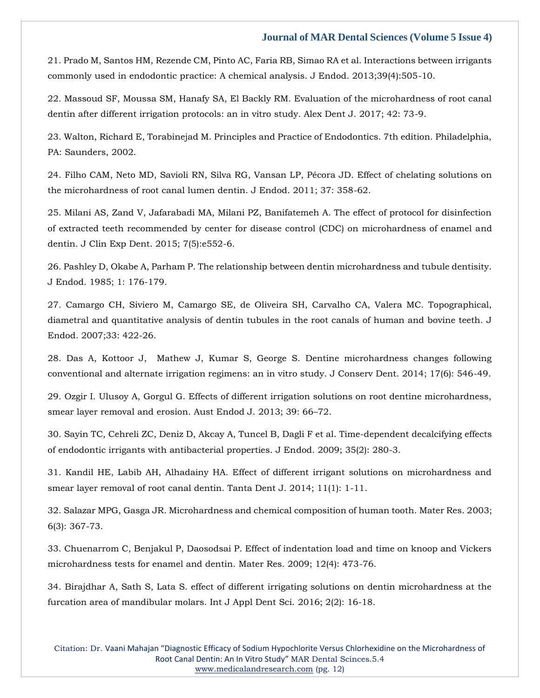[21. Prado M, Santos HM, Rezende CM, Pinto AC, Faria RB, Simao RA et al. Interactions between irrigants](https://www.google.com/search?q=Interactions+between+irrigants+commonly+used+in+endodontic+practice%3A+A+chemical+analysis&sxsrf=APq-WBtm-Hj6fCrm4HoP_0Ou-IfDakSEYg%3A1650537297526&ei=UTNhYtneH7WI4-EPp62-sA4&ved=0ahUKEwiZy7rK-qT3AhU1xDgGHaeWD-YQ4dUDCA4&oq=Interactions+between+irrigants+commonly+used+in+endodontic+practice%3A+A+chemical+analysis&gs_lcp=Cgdnd3Mtd2l6EAwyBAgAEB46BwgjEOoCECdKBAhBGABKBAhGGABQtQJYtQJgvgZoAXABeACAAV6IAV6SAQExmAEAoAEBoAECsAEKwAEB&sclient=gws-wiz)  [commonly used in endodontic practice: A chemical analysis. J Endod. 2013;39\(4\):505-10.](https://www.google.com/search?q=Interactions+between+irrigants+commonly+used+in+endodontic+practice%3A+A+chemical+analysis&sxsrf=APq-WBtm-Hj6fCrm4HoP_0Ou-IfDakSEYg%3A1650537297526&ei=UTNhYtneH7WI4-EPp62-sA4&ved=0ahUKEwiZy7rK-qT3AhU1xDgGHaeWD-YQ4dUDCA4&oq=Interactions+between+irrigants+commonly+used+in+endodontic+practice%3A+A+chemical+analysis&gs_lcp=Cgdnd3Mtd2l6EAwyBAgAEB46BwgjEOoCECdKBAhBGABKBAhGGABQtQJYtQJgvgZoAXABeACAAV6IAV6SAQExmAEAoAEBoAECsAEKwAEB&sclient=gws-wiz)

[22. Massoud SF, Moussa SM, Hanafy SA, El Backly RM. Evaluation of the microhardness of root canal](https://www.google.com/search?q=Evaluation+of+the+microhardness+of+root+canal+dentin+after+different+irrigation+protocols%3A+an+in+vitro+study.+&sxsrf=APq-WBtXvLbagjcHa26jK4SGlIR7VHC7lQ%3A1650537360654&ei=kDNhYpjDJ5aI4-EP0Le-yAY&ved=0ahUKEwiYy8fo-qT3AhUWxDgGHdCbD2kQ4dUDCA4&oq=Evaluation+of+the+microhardness+of+root+canal+dentin+after+different+irrigation+protocols%3A+an+in+vitro+study.+&gs_lcp=Cgdnd3Mtd2l6EAwyBwgjEOoCECcyBwgjEOoCECcyBwgjEOoCECcyBwgjEOoCECcyBwgjEOoCECcyBwgjEOoCECcyBwgjEOoCECcyBwgjEOoCECcyBwgjEOoCECcyBwgjEOoCECdKBAhBGABKBAhGGABQiwNYiwNg_QdoAXABeACAAQCIAQCSAQCYAQCgAQGgAQKwAQrAAQE&sclient=gws-wiz)  [dentin after different irrigation protocols: an in vitro study. Alex Dent J. 2017; 42: 73-9.](https://www.google.com/search?q=Evaluation+of+the+microhardness+of+root+canal+dentin+after+different+irrigation+protocols%3A+an+in+vitro+study.+&sxsrf=APq-WBtXvLbagjcHa26jK4SGlIR7VHC7lQ%3A1650537360654&ei=kDNhYpjDJ5aI4-EP0Le-yAY&ved=0ahUKEwiYy8fo-qT3AhUWxDgGHdCbD2kQ4dUDCA4&oq=Evaluation+of+the+microhardness+of+root+canal+dentin+after+different+irrigation+protocols%3A+an+in+vitro+study.+&gs_lcp=Cgdnd3Mtd2l6EAwyBwgjEOoCECcyBwgjEOoCECcyBwgjEOoCECcyBwgjEOoCECcyBwgjEOoCECcyBwgjEOoCECcyBwgjEOoCECcyBwgjEOoCECcyBwgjEOoCECcyBwgjEOoCECdKBAhBGABKBAhGGABQiwNYiwNg_QdoAXABeACAAQCIAQCSAQCYAQCgAQGgAQKwAQrAAQE&sclient=gws-wiz)

[23. Walton, Richard E, Torabinejad M. Principles and Practice of Endodontics. 7th edition. Philadelphia,](https://www.google.com/search?q=Principles+and+Practice+of+Endodontics&sxsrf=APq-WBs8zeXh6qM1hq-2aF8Lykn7mobWEw%3A1650537375488&ei=nzNhYpS4HbuZ4-EPkPuggA0&ved=0ahUKEwjUg9Hv-qT3AhW7zDgGHZA9CNAQ4dUDCA4&oq=Principles+and+Practice+of+Endodontics&gs_lcp=Cgdnd3Mtd2l6EAwyBQgAEIAEMgUIABCABDIFCAAQgAQyBggAEBYQHjoHCCMQ6gIQJ0oECEEYAEoECEYYAFDKAljKAmDMBWgBcAB4AIABZ4gBZ5IBAzAuMZgBAKABAaABArABCsABAQ&sclient=gws-wiz)  [PA: Saunders, 2002.](https://www.google.com/search?q=Principles+and+Practice+of+Endodontics&sxsrf=APq-WBs8zeXh6qM1hq-2aF8Lykn7mobWEw%3A1650537375488&ei=nzNhYpS4HbuZ4-EPkPuggA0&ved=0ahUKEwjUg9Hv-qT3AhW7zDgGHZA9CNAQ4dUDCA4&oq=Principles+and+Practice+of+Endodontics&gs_lcp=Cgdnd3Mtd2l6EAwyBQgAEIAEMgUIABCABDIFCAAQgAQyBggAEBYQHjoHCCMQ6gIQJ0oECEEYAEoECEYYAFDKAljKAmDMBWgBcAB4AIABZ4gBZ5IBAzAuMZgBAKABAaABArABCsABAQ&sclient=gws-wiz)

[24. Filho CAM, Neto MD, Savioli RN, Silva RG, Vansan LP, Pécora JD. Effect of chelating solutions on](https://www.google.com/search?q=Effect+of+chelating+solutions+on+the+microhardness+of+root+canal+lumen+dentin&sxsrf=APq-WBtyZSVC_UHVP7eADGNvZIISlYsGzQ%3A1650537438907&ei=3jNhYuiHN-qK4-EPk-6r-Ac&ved=0ahUKEwjo7u-N-6T3AhVqxTgGHRP3Cn8Q4dUDCA4&oq=Effect+of+chelating+solutions+on+the+microhardness+of+root+canal+lumen+dentin&gs_lcp=Cgdnd3Mtd2l6EAw6BwgjEOoCECdKBAhBGABKBAhGGABQnANYnANgrgZoAXABeACAAWSIAWSSAQMwLjGYAQCgAQGgAQKwAQrAAQE&sclient=gws-wiz)  [the microhardness of root canal lumen dentin. J Endod. 2011; 37: 358-62.](https://www.google.com/search?q=Effect+of+chelating+solutions+on+the+microhardness+of+root+canal+lumen+dentin&sxsrf=APq-WBtyZSVC_UHVP7eADGNvZIISlYsGzQ%3A1650537438907&ei=3jNhYuiHN-qK4-EPk-6r-Ac&ved=0ahUKEwjo7u-N-6T3AhVqxTgGHRP3Cn8Q4dUDCA4&oq=Effect+of+chelating+solutions+on+the+microhardness+of+root+canal+lumen+dentin&gs_lcp=Cgdnd3Mtd2l6EAw6BwgjEOoCECdKBAhBGABKBAhGGABQnANYnANgrgZoAXABeACAAWSIAWSSAQMwLjGYAQCgAQGgAQKwAQrAAQE&sclient=gws-wiz)

[25. Milani AS, Zand V, Jafarabadi MA, Milani PZ, Banifatemeh A. The effect of protocol for disinfection](https://www.google.com/search?q=The+effect+of+protocol+for+disinfection+of+extracted+teeth+recommended+by+center+for+disease+control+%28CDC%29+on+microhardness+of+enamel+and+dentin&sxsrf=APq-WBuX6s0vLAcnDZLh53H2jjmgrZE2Lg%3A1650537451958&ei=6zNhYu79OaTF4-EPjrC5gAc&ved=0ahUKEwiun4yU-6T3AhWk4jgGHQ5YDnAQ4dUDCA4&oq=The+effect+of+protocol+for+disinfection+of+extracted+teeth+recommended+by+center+for+disease+control+%28CDC%29+on+microhardness+of+enamel+and+dentin&gs_lcp=Cgdnd3Mtd2l6EAwyBwgjEOoCECcyBwgjEOoCECcyBwgjEOoCECcyBwgjEOoCECcyBwgjEOoCECcyBwgjEOoCECcyBwgjEOoCECcyBwgjEOoCECcyBwgjEOoCECcyBwgjEOoCECdKBAhBGABKBAhGGABQwgJYwgJg3wdoAXABeACAAQCIAQCSAQCYAQCgAQGgAQKwAQrAAQE&sclient=gws-wiz)  [of extracted teeth recommended by center for disease control \(CDC\) on microhardness of enamel and](https://www.google.com/search?q=The+effect+of+protocol+for+disinfection+of+extracted+teeth+recommended+by+center+for+disease+control+%28CDC%29+on+microhardness+of+enamel+and+dentin&sxsrf=APq-WBuX6s0vLAcnDZLh53H2jjmgrZE2Lg%3A1650537451958&ei=6zNhYu79OaTF4-EPjrC5gAc&ved=0ahUKEwiun4yU-6T3AhWk4jgGHQ5YDnAQ4dUDCA4&oq=The+effect+of+protocol+for+disinfection+of+extracted+teeth+recommended+by+center+for+disease+control+%28CDC%29+on+microhardness+of+enamel+and+dentin&gs_lcp=Cgdnd3Mtd2l6EAwyBwgjEOoCECcyBwgjEOoCECcyBwgjEOoCECcyBwgjEOoCECcyBwgjEOoCECcyBwgjEOoCECcyBwgjEOoCECcyBwgjEOoCECcyBwgjEOoCECcyBwgjEOoCECdKBAhBGABKBAhGGABQwgJYwgJg3wdoAXABeACAAQCIAQCSAQCYAQCgAQGgAQKwAQrAAQE&sclient=gws-wiz)  [dentin. J Clin Exp Dent. 2015; 7\(5\):e552-6.](https://www.google.com/search?q=The+effect+of+protocol+for+disinfection+of+extracted+teeth+recommended+by+center+for+disease+control+%28CDC%29+on+microhardness+of+enamel+and+dentin&sxsrf=APq-WBuX6s0vLAcnDZLh53H2jjmgrZE2Lg%3A1650537451958&ei=6zNhYu79OaTF4-EPjrC5gAc&ved=0ahUKEwiun4yU-6T3AhWk4jgGHQ5YDnAQ4dUDCA4&oq=The+effect+of+protocol+for+disinfection+of+extracted+teeth+recommended+by+center+for+disease+control+%28CDC%29+on+microhardness+of+enamel+and+dentin&gs_lcp=Cgdnd3Mtd2l6EAwyBwgjEOoCECcyBwgjEOoCECcyBwgjEOoCECcyBwgjEOoCECcyBwgjEOoCECcyBwgjEOoCECcyBwgjEOoCECcyBwgjEOoCECcyBwgjEOoCECcyBwgjEOoCECdKBAhBGABKBAhGGABQwgJYwgJg3wdoAXABeACAAQCIAQCSAQCYAQCgAQGgAQKwAQrAAQE&sclient=gws-wiz)

[26. Pashley D, Okabe A, Parham P. The relationship between dentin microhardness and tubule dentisity.](https://www.google.com/search?q=The+relationship+between+dentin+microhardness+and+tubule+dentisity&sxsrf=APq-WBscpDu6f_25GT-c7BmbKe9FupZBdw%3A1650537479583&ei=BzRhYsmiI62N4-EP3-WkqAY&ved=0ahUKEwiJwqKh-6T3AhWtxjgGHd8yCWUQ4dUDCA4&oq=The+relationship+between+dentin+microhardness+and+tubule+dentisity&gs_lcp=Cgdnd3Mtd2l6EAw6BwgjEOoCECdKBAhBGABKBAhGGABQtAJYtAJg3gVoAXAAeACAAXiIAXiSAQMwLjGYAQCgAQGgAQKwAQrAAQE&sclient=gws-wiz)  [J Endod. 1985; 1: 176-179.](https://www.google.com/search?q=The+relationship+between+dentin+microhardness+and+tubule+dentisity&sxsrf=APq-WBscpDu6f_25GT-c7BmbKe9FupZBdw%3A1650537479583&ei=BzRhYsmiI62N4-EP3-WkqAY&ved=0ahUKEwiJwqKh-6T3AhWtxjgGHd8yCWUQ4dUDCA4&oq=The+relationship+between+dentin+microhardness+and+tubule+dentisity&gs_lcp=Cgdnd3Mtd2l6EAw6BwgjEOoCECdKBAhBGABKBAhGGABQtAJYtAJg3gVoAXAAeACAAXiIAXiSAQMwLjGYAQCgAQGgAQKwAQrAAQE&sclient=gws-wiz)

27. [Camargo CH, Siviero M, Camargo SE, de Oliveira SH, Carvalho CA, Valera MC. Topographical,](https://www.google.com/search?q=Topographical%2C+diametral+and+quantitative+analysis+of+dentin+tubules+in+the+root+canals+of+human+and+bovine+teeth&sxsrf=APq-WBvXDlT_mKfrek3X6YzYFdhzD_lIGg%3A1650537518762&ei=LjRhYoidLrSY4-EP3YW5kAw&ved=0ahUKEwiI7Pmz-6T3AhU0zDgGHd1CDsIQ4dUDCA4&oq=Topographical%2C+diametral+and+quantitative+analysis+of+dentin+tubules+in+the+root+canals+of+human+and+bovine+teeth&gs_lcp=Cgdnd3Mtd2l6EAwyBwgjEOoCECcyBwgjEOoCECcyBwgjEOoCECcyBwgjEOoCECcyBwgjEOoCECcyBwgjEOoCECcyBwgjEOoCECcyBwgjEOoCECcyBwgjEOoCECcyBwgjEOoCECdKBAhBGABKBAhGGABQ-AJY-AJg5QdoAXAAeACAAQCIAQCSAQCYAQCgAQGgAQKwAQrAAQE&sclient=gws-wiz)  [diametral and quantitative analysis of dentin tubules in the root canals of human and bovine teeth. J](https://www.google.com/search?q=Topographical%2C+diametral+and+quantitative+analysis+of+dentin+tubules+in+the+root+canals+of+human+and+bovine+teeth&sxsrf=APq-WBvXDlT_mKfrek3X6YzYFdhzD_lIGg%3A1650537518762&ei=LjRhYoidLrSY4-EP3YW5kAw&ved=0ahUKEwiI7Pmz-6T3AhU0zDgGHd1CDsIQ4dUDCA4&oq=Topographical%2C+diametral+and+quantitative+analysis+of+dentin+tubules+in+the+root+canals+of+human+and+bovine+teeth&gs_lcp=Cgdnd3Mtd2l6EAwyBwgjEOoCECcyBwgjEOoCECcyBwgjEOoCECcyBwgjEOoCECcyBwgjEOoCECcyBwgjEOoCECcyBwgjEOoCECcyBwgjEOoCECcyBwgjEOoCECcyBwgjEOoCECdKBAhBGABKBAhGGABQ-AJY-AJg5QdoAXAAeACAAQCIAQCSAQCYAQCgAQGgAQKwAQrAAQE&sclient=gws-wiz)  [Endod. 2007;33: 422-26.](https://www.google.com/search?q=Topographical%2C+diametral+and+quantitative+analysis+of+dentin+tubules+in+the+root+canals+of+human+and+bovine+teeth&sxsrf=APq-WBvXDlT_mKfrek3X6YzYFdhzD_lIGg%3A1650537518762&ei=LjRhYoidLrSY4-EP3YW5kAw&ved=0ahUKEwiI7Pmz-6T3AhU0zDgGHd1CDsIQ4dUDCA4&oq=Topographical%2C+diametral+and+quantitative+analysis+of+dentin+tubules+in+the+root+canals+of+human+and+bovine+teeth&gs_lcp=Cgdnd3Mtd2l6EAwyBwgjEOoCECcyBwgjEOoCECcyBwgjEOoCECcyBwgjEOoCECcyBwgjEOoCECcyBwgjEOoCECcyBwgjEOoCECcyBwgjEOoCECcyBwgjEOoCECcyBwgjEOoCECdKBAhBGABKBAhGGABQ-AJY-AJg5QdoAXAAeACAAQCIAQCSAQCYAQCgAQGgAQKwAQrAAQE&sclient=gws-wiz)

[28. Das A, Kottoor J, Mathew J, Kumar S, George S. Dentine microhardness changes following](https://www.google.com/search?q=Dentine+microhardness+changes+following+conventional+and+alternate+irrigation+regimens%3A+an+in+vitro+study.+&sxsrf=APq-WBuuG1-kbWbDZ_ApSKx9Tjcnu0L64g%3A1650537532206&ei=PDRhYr2gDKOb4-EPqOil4Ak&ved=0ahUKEwi9rq66-6T3AhWjzTgGHSh0CZwQ4dUDCA4&oq=Dentine+microhardness+changes+following+conventional+and+alternate+irrigation+regimens%3A+an+in+vitro+study.+&gs_lcp=Cgdnd3Mtd2l6EAwyBwgjEOoCECcyBwgjEOoCECcyBwgjEOoCECcyBwgjEOoCECcyBwgjEOoCECcyBwgjEOoCECcyBwgjEOoCECcyBwgjEOoCECcyBwgjEOoCECcyBwgjEOoCECdKBAhBGABKBAhGGABQ7wJY7wJggAZoAXAAeACAAQCIAQCSAQCYAQCgAQGgAQKwAQrAAQE&sclient=gws-wiz)  [conventional and alternate irrigation regimens: an in vitro study. J Conserv Dent. 2014; 17\(6\): 546-49.](https://www.google.com/search?q=Dentine+microhardness+changes+following+conventional+and+alternate+irrigation+regimens%3A+an+in+vitro+study.+&sxsrf=APq-WBuuG1-kbWbDZ_ApSKx9Tjcnu0L64g%3A1650537532206&ei=PDRhYr2gDKOb4-EPqOil4Ak&ved=0ahUKEwi9rq66-6T3AhWjzTgGHSh0CZwQ4dUDCA4&oq=Dentine+microhardness+changes+following+conventional+and+alternate+irrigation+regimens%3A+an+in+vitro+study.+&gs_lcp=Cgdnd3Mtd2l6EAwyBwgjEOoCECcyBwgjEOoCECcyBwgjEOoCECcyBwgjEOoCECcyBwgjEOoCECcyBwgjEOoCECcyBwgjEOoCECcyBwgjEOoCECcyBwgjEOoCECcyBwgjEOoCECdKBAhBGABKBAhGGABQ7wJY7wJggAZoAXAAeACAAQCIAQCSAQCYAQCgAQGgAQKwAQrAAQE&sclient=gws-wiz)

[29. Ozgir I. Ulusoy A, Gorgul G. Effects of different irrigation solutions on root dentine microhardness,](https://www.google.com/search?q=Effects+of+different+irrigation+solutions+on+root+dentine+microhardness%2C+smear+layer+removal+and+erosion.&sxsrf=APq-WBvdQCFcTCqeqzThSfo8kAmXwymlrA%3A1650537546519&ei=SjRhYratH_iY4-EP4YCDgAw&ved=0ahUKEwi2-pfB-6T3AhV4zDgGHWHAAMAQ4dUDCA4&oq=Effects+of+different+irrigation+solutions+on+root+dentine+microhardness%2C+smear+layer+removal+and+erosion.&gs_lcp=Cgdnd3Mtd2l6EAwyBwgjEOoCECcyBwgjEOoCECcyBwgjEOoCECcyBwgjEOoCECcyBwgjEOoCECcyBwgjEOoCECcyBwgjEOoCECcyBwgjEOoCECcyBwgjEOoCECcyBwgjEOoCECdKBAhBGABKBAhGGABQuwNYuwNghQhoAXAAeACAAQCIAQCSAQCYAQCgAQGgAQKwAQrAAQE&sclient=gws-wiz)  [smear layer removal and erosion. Aust Endod J. 2013; 39: 66](https://www.google.com/search?q=Effects+of+different+irrigation+solutions+on+root+dentine+microhardness%2C+smear+layer+removal+and+erosion.&sxsrf=APq-WBvdQCFcTCqeqzThSfo8kAmXwymlrA%3A1650537546519&ei=SjRhYratH_iY4-EP4YCDgAw&ved=0ahUKEwi2-pfB-6T3AhV4zDgGHWHAAMAQ4dUDCA4&oq=Effects+of+different+irrigation+solutions+on+root+dentine+microhardness%2C+smear+layer+removal+and+erosion.&gs_lcp=Cgdnd3Mtd2l6EAwyBwgjEOoCECcyBwgjEOoCECcyBwgjEOoCECcyBwgjEOoCECcyBwgjEOoCECcyBwgjEOoCECcyBwgjEOoCECcyBwgjEOoCECcyBwgjEOoCECcyBwgjEOoCECdKBAhBGABKBAhGGABQuwNYuwNghQhoAXAAeACAAQCIAQCSAQCYAQCgAQGgAQKwAQrAAQE&sclient=gws-wiz)–72.

30. [Sayin TC, Cehreli ZC, Deniz D, Akcay A, Tuncel B, Dagli F et al. Time-dependent decalcifying effects](https://www.google.com/search?q=Time-dependent+decalcifying+effects+of+endodontic+irrigants+with+antibacterial+properties&sxsrf=APq-WBtEcJMoOZEfIdIf3nqrWYD0gPI45A%3A1650537559135&ei=VzRhYtzpB-GW4-EPl9iQsAo&ved=0ahUKEwic8ZnH-6T3AhVhyzgGHRcsBKYQ4dUDCA4&oq=Time-dependent+decalcifying+effects+of+endodontic+irrigants+with+antibacterial+properties&gs_lcp=Cgdnd3Mtd2l6EAwyBwgjEOoCECcyBwgjEOoCECcyBwgjEOoCECcyBwgjEOoCECcyBwgjEOoCECcyBwgjEOoCECcyBwgjEOoCECcyBwgjEOoCECcyBwgjEOoCECcyBwgjEOoCECdKBAhBGABKBAhGGABQvwNYvwNguwdoAXAAeACAAQCIAQCSAQCYAQCgAQGgAQKwAQrAAQE&sclient=gws-wiz)  [of endodontic irrigants with antibacterial properties. J Endod. 2009; 35\(2\): 280-3.](https://www.google.com/search?q=Time-dependent+decalcifying+effects+of+endodontic+irrigants+with+antibacterial+properties&sxsrf=APq-WBtEcJMoOZEfIdIf3nqrWYD0gPI45A%3A1650537559135&ei=VzRhYtzpB-GW4-EPl9iQsAo&ved=0ahUKEwic8ZnH-6T3AhVhyzgGHRcsBKYQ4dUDCA4&oq=Time-dependent+decalcifying+effects+of+endodontic+irrigants+with+antibacterial+properties&gs_lcp=Cgdnd3Mtd2l6EAwyBwgjEOoCECcyBwgjEOoCECcyBwgjEOoCECcyBwgjEOoCECcyBwgjEOoCECcyBwgjEOoCECcyBwgjEOoCECcyBwgjEOoCECcyBwgjEOoCECcyBwgjEOoCECdKBAhBGABKBAhGGABQvwNYvwNguwdoAXAAeACAAQCIAQCSAQCYAQCgAQGgAQKwAQrAAQE&sclient=gws-wiz)

[31. Kandil HE, Labib AH, Alhadainy HA. Effect of different irrigant solutions on microhardness and](https://www.google.com/search?q=Effect+of+different+irrigant+solutions+on+microhardness+and+smear+layer+removal+of+root+canal+dentin&sxsrf=APq-WBurlBJzSr1GuG-1_HPv34CCyfTQ9g%3A1650537573730&ei=ZTRhYp6eLOSX4-EPgsSg-AE&ved=0ahUKEwje5JTO-6T3AhXkyzgGHQIiCB8Q4dUDCA4&oq=Effect+of+different+irrigant+solutions+on+microhardness+and+smear+layer+removal+of+root+canal+dentin&gs_lcp=Cgdnd3Mtd2l6EAw6BwgjEOoCECdKBAhBGABKBAhGGABQkQNYkQNg3AZoAXAAeACAAV-IAV-SAQExmAEAoAEBoAECsAEKwAEB&sclient=gws-wiz)  [smear layer removal of root canal dentin. Tanta Dent J. 2014; 11\(1\): 1-11.](https://www.google.com/search?q=Effect+of+different+irrigant+solutions+on+microhardness+and+smear+layer+removal+of+root+canal+dentin&sxsrf=APq-WBurlBJzSr1GuG-1_HPv34CCyfTQ9g%3A1650537573730&ei=ZTRhYp6eLOSX4-EPgsSg-AE&ved=0ahUKEwje5JTO-6T3AhXkyzgGHQIiCB8Q4dUDCA4&oq=Effect+of+different+irrigant+solutions+on+microhardness+and+smear+layer+removal+of+root+canal+dentin&gs_lcp=Cgdnd3Mtd2l6EAw6BwgjEOoCECdKBAhBGABKBAhGGABQkQNYkQNg3AZoAXAAeACAAV-IAV-SAQExmAEAoAEBoAECsAEKwAEB&sclient=gws-wiz)

32. [Salazar MPG, Gasga JR. Microhardness and chemical composition of human tooth. Mater Res. 2003;](https://www.google.com/search?q=Microhardness+and+chemical+composition+of+human+tooth&sxsrf=APq-WBu8TPkGrhCdcNo6tPBwz8CZFPO-ig%3A1650537651078&ei=szRhYvS2BOOd4-EPkPa3qAU&ved=0ahUKEwi03IXz-6T3AhXjzjgGHRD7DVUQ4dUDCA4&oq=Microhardness+and+chemical+composition+of+human+tooth&gs_lcp=Cgdnd3Mtd2l6EAwyBQgAEIAEOgcIIxDqAhAnSgQIQRgASgQIRhgAUOoCWOoCYOUGaAFwAHgAgAFoiAFokgEDMC4xmAEAoAEBoAECsAEKwAEB&sclient=gws-wiz)  [6\(3\): 367-73.](https://www.google.com/search?q=Microhardness+and+chemical+composition+of+human+tooth&sxsrf=APq-WBu8TPkGrhCdcNo6tPBwz8CZFPO-ig%3A1650537651078&ei=szRhYvS2BOOd4-EPkPa3qAU&ved=0ahUKEwi03IXz-6T3AhXjzjgGHRD7DVUQ4dUDCA4&oq=Microhardness+and+chemical+composition+of+human+tooth&gs_lcp=Cgdnd3Mtd2l6EAwyBQgAEIAEOgcIIxDqAhAnSgQIQRgASgQIRhgAUOoCWOoCYOUGaAFwAHgAgAFoiAFokgEDMC4xmAEAoAEBoAECsAEKwAEB&sclient=gws-wiz)

[33. Chuenarrom C, Benjakul P, Daosodsai P. Effect of indentation load and time on knoop and Vickers](https://www.google.com/search?q=Effect+of+indentation+load+and+time+on+knoop+and+Vickers+microhardness+tests+for+enamel+and+dentin&sxsrf=APq-WBt4KLbLb9d9dAC0YKA8GiUfWkYACQ%3A1650537664654&ei=wDRhYtXQJ5-L4-EPnNqQeA&ved=0ahUKEwjVsML5-6T3AhWfxTgGHRwtBA8Q4dUDCA4&oq=Effect+of+indentation+load+and+time+on+knoop+and+Vickers+microhardness+tests+for+enamel+and+dentin&gs_lcp=Cgdnd3Mtd2l6EAwyBQgAEIAEOgcIIxDqAhAnSgQIQRgASgQIRhgAUIoDWIoDYJsHaAFwAXgAgAFViAFVkgEBMZgBAKABAaABArABCsABAQ&sclient=gws-wiz)  [microhardness tests for enamel and dentin. Mater Res. 2009; 12\(4\): 473-76.](https://www.google.com/search?q=Effect+of+indentation+load+and+time+on+knoop+and+Vickers+microhardness+tests+for+enamel+and+dentin&sxsrf=APq-WBt4KLbLb9d9dAC0YKA8GiUfWkYACQ%3A1650537664654&ei=wDRhYtXQJ5-L4-EPnNqQeA&ved=0ahUKEwjVsML5-6T3AhWfxTgGHRwtBA8Q4dUDCA4&oq=Effect+of+indentation+load+and+time+on+knoop+and+Vickers+microhardness+tests+for+enamel+and+dentin&gs_lcp=Cgdnd3Mtd2l6EAwyBQgAEIAEOgcIIxDqAhAnSgQIQRgASgQIRhgAUIoDWIoDYJsHaAFwAXgAgAFViAFVkgEBMZgBAKABAaABArABCsABAQ&sclient=gws-wiz)

[34. Birajdhar A, Sath S, Lata S. effect of different irrigating solutions on dentin microhardness at the](https://www.google.com/search?q=effect+of+different+irrigating+solutions+on+dentin+microhardness+at+the+furcation+area+of+mandibular+molars&sxsrf=APq-WBs9imab2ARip5WElLxvSgIcbKNwlQ%3A1650537697357&ei=4TRhYqS1FdqJ4-EP0uujmAU&ved=0ahUKEwjkqY6J_KT3AhXaxDgGHdL1CFMQ4dUDCA4&oq=effect+of+different+irrigating+solutions+on+dentin+microhardness+at+the+furcation+area+of+mandibular+molars&gs_lcp=Cgdnd3Mtd2l6EAwyBwgjEOoCECcyBwgjEOoCECcyBwgjEOoCECcyBwgjEOoCECcyBwgjEOoCECcyBwgjEOoCECcyBwgjEOoCECcyBwgjEOoCECcyBwgjEOoCECcyBwgjEOoCECdKBAhBGABKBAhGGABQ8AJY8AJg6QhoAXABeACAAQCIAQCSAQCYAQCgAQGgAQKwAQrAAQE&sclient=gws-wiz)  [furcation area of mandibular molars. Int J Appl Dent Sci.](https://www.google.com/search?q=effect+of+different+irrigating+solutions+on+dentin+microhardness+at+the+furcation+area+of+mandibular+molars&sxsrf=APq-WBs9imab2ARip5WElLxvSgIcbKNwlQ%3A1650537697357&ei=4TRhYqS1FdqJ4-EP0uujmAU&ved=0ahUKEwjkqY6J_KT3AhXaxDgGHdL1CFMQ4dUDCA4&oq=effect+of+different+irrigating+solutions+on+dentin+microhardness+at+the+furcation+area+of+mandibular+molars&gs_lcp=Cgdnd3Mtd2l6EAwyBwgjEOoCECcyBwgjEOoCECcyBwgjEOoCECcyBwgjEOoCECcyBwgjEOoCECcyBwgjEOoCECcyBwgjEOoCECcyBwgjEOoCECcyBwgjEOoCECcyBwgjEOoCECdKBAhBGABKBAhGGABQ8AJY8AJg6QhoAXABeACAAQCIAQCSAQCYAQCgAQGgAQKwAQrAAQE&sclient=gws-wiz) 2016; 2(2): 16-18.